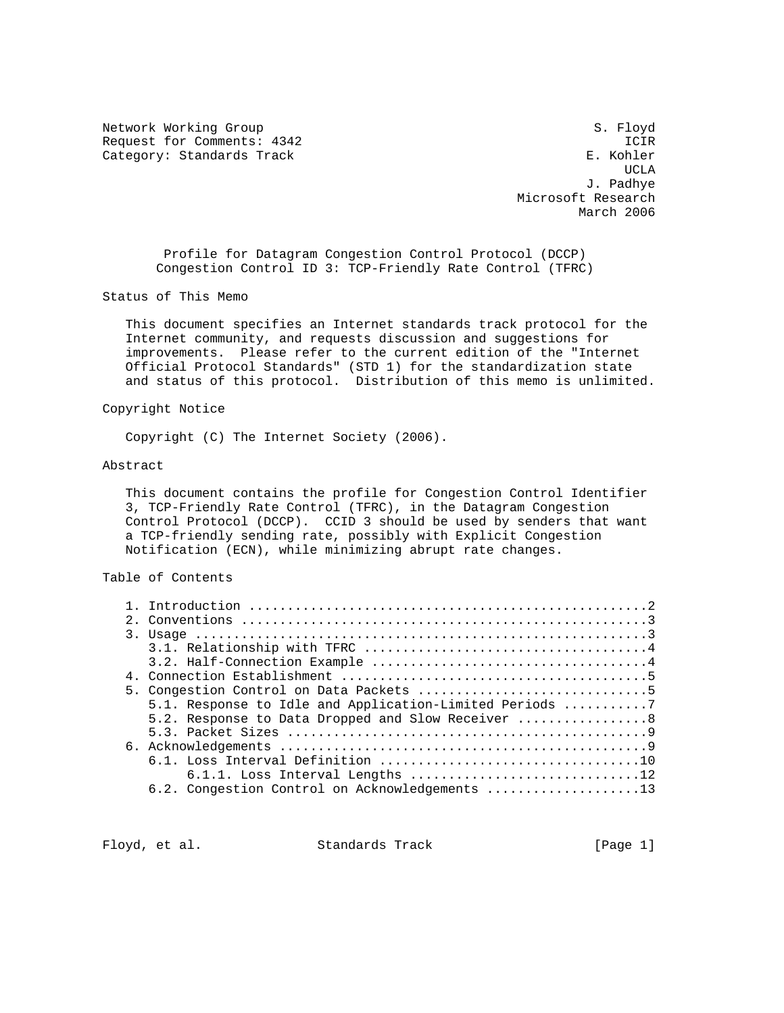Network Working Group S. Floyd Request for Comments: 4342 ICIR<br>Category: Standards Track Category: Standards Track Category: Standards Track

UCLA AND IN THE RESERVE OF THE RESERVE OF THE RESERVE OF THE RESERVE OF THE RESERVE OF THE RESERVE OF THE RESERVE OF THE RESERVE OF THE RESERVE OF THE RESERVE OF THE RESERVE OF THE RESERVE OF THE RESERVE OF THE RESERVE OF J. Padhye Microsoft Research March 2006

 Profile for Datagram Congestion Control Protocol (DCCP) Congestion Control ID 3: TCP-Friendly Rate Control (TFRC)

Status of This Memo

 This document specifies an Internet standards track protocol for the Internet community, and requests discussion and suggestions for improvements. Please refer to the current edition of the "Internet Official Protocol Standards" (STD 1) for the standardization state and status of this protocol. Distribution of this memo is unlimited.

### Copyright Notice

Copyright (C) The Internet Society (2006).

#### Abstract

 This document contains the profile for Congestion Control Identifier 3, TCP-Friendly Rate Control (TFRC), in the Datagram Congestion Control Protocol (DCCP). CCID 3 should be used by senders that want a TCP-friendly sending rate, possibly with Explicit Congestion Notification (ECN), while minimizing abrupt rate changes.

# Table of Contents

|  | 5.1. Response to Idle and Application-Limited Periods 7 |
|--|---------------------------------------------------------|
|  | 5.2. Response to Data Dropped and Slow Receiver 8       |
|  |                                                         |
|  |                                                         |
|  |                                                         |
|  |                                                         |
|  | 6.2. Congestion Control on Acknowledgements 13          |

Floyd, et al. Standards Track [Page 1]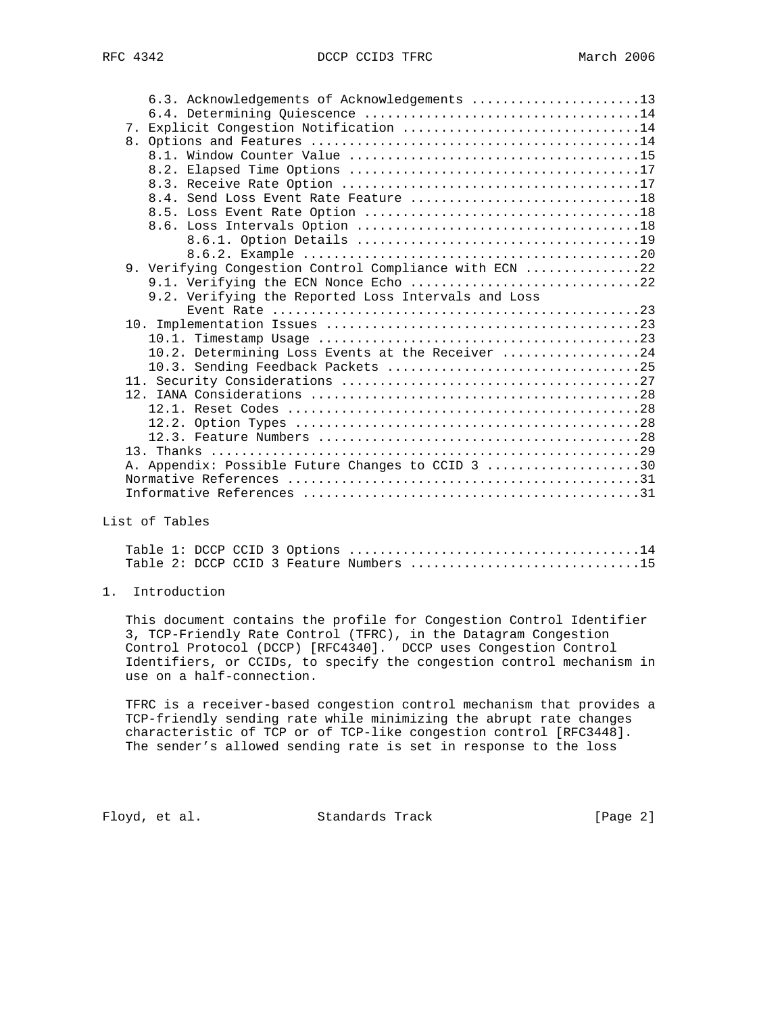| 6.3. Acknowledgements of Acknowledgements 13           |  |
|--------------------------------------------------------|--|
|                                                        |  |
| 7. Explicit Congestion Notification 14                 |  |
|                                                        |  |
|                                                        |  |
|                                                        |  |
|                                                        |  |
| 8.4. Send Loss Event Rate Feature 18                   |  |
|                                                        |  |
|                                                        |  |
|                                                        |  |
|                                                        |  |
| 9. Verifying Congestion Control Compliance with ECN 22 |  |
| 9.1. Verifying the ECN Nonce Echo 22                   |  |
| 9.2. Verifying the Reported Loss Intervals and Loss    |  |
|                                                        |  |
|                                                        |  |
|                                                        |  |
| 10.2. Determining Loss Events at the Receiver 24       |  |
|                                                        |  |
|                                                        |  |
|                                                        |  |
|                                                        |  |
|                                                        |  |
|                                                        |  |
|                                                        |  |
| A. Appendix: Possible Future Changes to CCID 3 30      |  |
|                                                        |  |
|                                                        |  |

List of Tables

|  |  |  | Table 2: DCCP CCID 3 Feature Numbers 15 |  |  |  |  |  |  |  |
|--|--|--|-----------------------------------------|--|--|--|--|--|--|--|

# 1. Introduction

 This document contains the profile for Congestion Control Identifier 3, TCP-Friendly Rate Control (TFRC), in the Datagram Congestion Control Protocol (DCCP) [RFC4340]. DCCP uses Congestion Control Identifiers, or CCIDs, to specify the congestion control mechanism in use on a half-connection.

 TFRC is a receiver-based congestion control mechanism that provides a TCP-friendly sending rate while minimizing the abrupt rate changes characteristic of TCP or of TCP-like congestion control [RFC3448]. The sender's allowed sending rate is set in response to the loss

Floyd, et al. Standards Track [Page 2]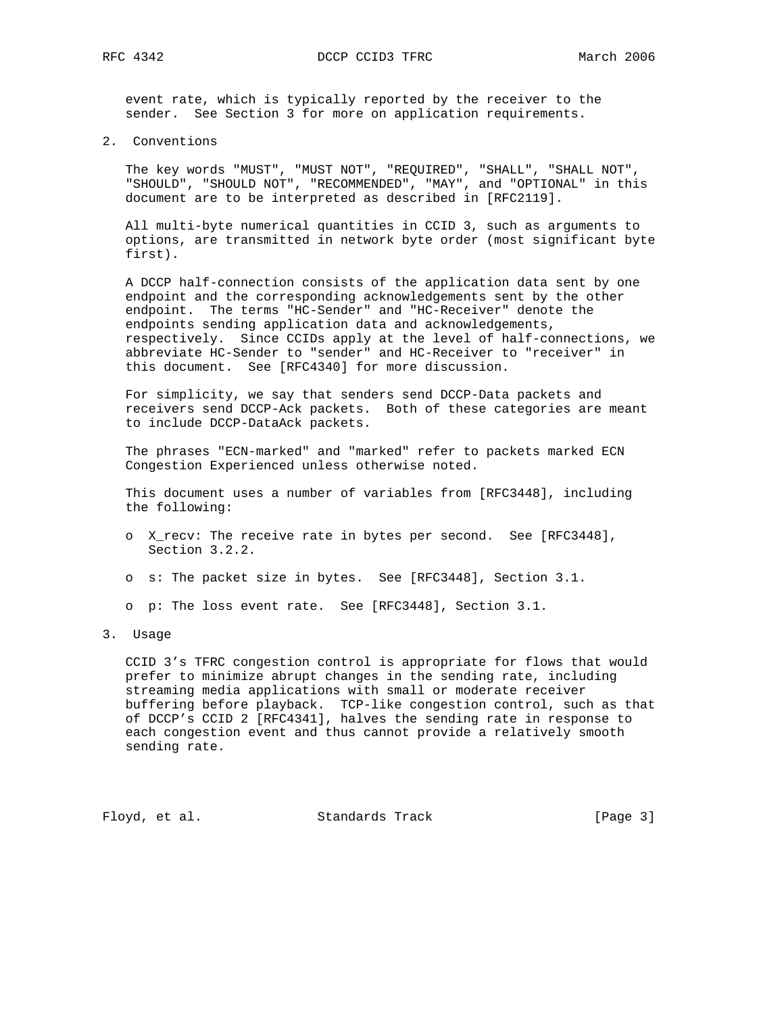event rate, which is typically reported by the receiver to the sender. See Section 3 for more on application requirements.

2. Conventions

 The key words "MUST", "MUST NOT", "REQUIRED", "SHALL", "SHALL NOT", "SHOULD", "SHOULD NOT", "RECOMMENDED", "MAY", and "OPTIONAL" in this document are to be interpreted as described in [RFC2119].

 All multi-byte numerical quantities in CCID 3, such as arguments to options, are transmitted in network byte order (most significant byte first).

 A DCCP half-connection consists of the application data sent by one endpoint and the corresponding acknowledgements sent by the other endpoint. The terms "HC-Sender" and "HC-Receiver" denote the endpoints sending application data and acknowledgements, respectively. Since CCIDs apply at the level of half-connections, we abbreviate HC-Sender to "sender" and HC-Receiver to "receiver" in this document. See [RFC4340] for more discussion.

 For simplicity, we say that senders send DCCP-Data packets and receivers send DCCP-Ack packets. Both of these categories are meant to include DCCP-DataAck packets.

 The phrases "ECN-marked" and "marked" refer to packets marked ECN Congestion Experienced unless otherwise noted.

 This document uses a number of variables from [RFC3448], including the following:

- o X\_recv: The receive rate in bytes per second. See [RFC3448], Section 3.2.2.
- o s: The packet size in bytes. See [RFC3448], Section 3.1.
- o p: The loss event rate. See [RFC3448], Section 3.1.
- 3. Usage

 CCID 3's TFRC congestion control is appropriate for flows that would prefer to minimize abrupt changes in the sending rate, including streaming media applications with small or moderate receiver buffering before playback. TCP-like congestion control, such as that of DCCP's CCID 2 [RFC4341], halves the sending rate in response to each congestion event and thus cannot provide a relatively smooth sending rate.

Floyd, et al. Standards Track [Page 3]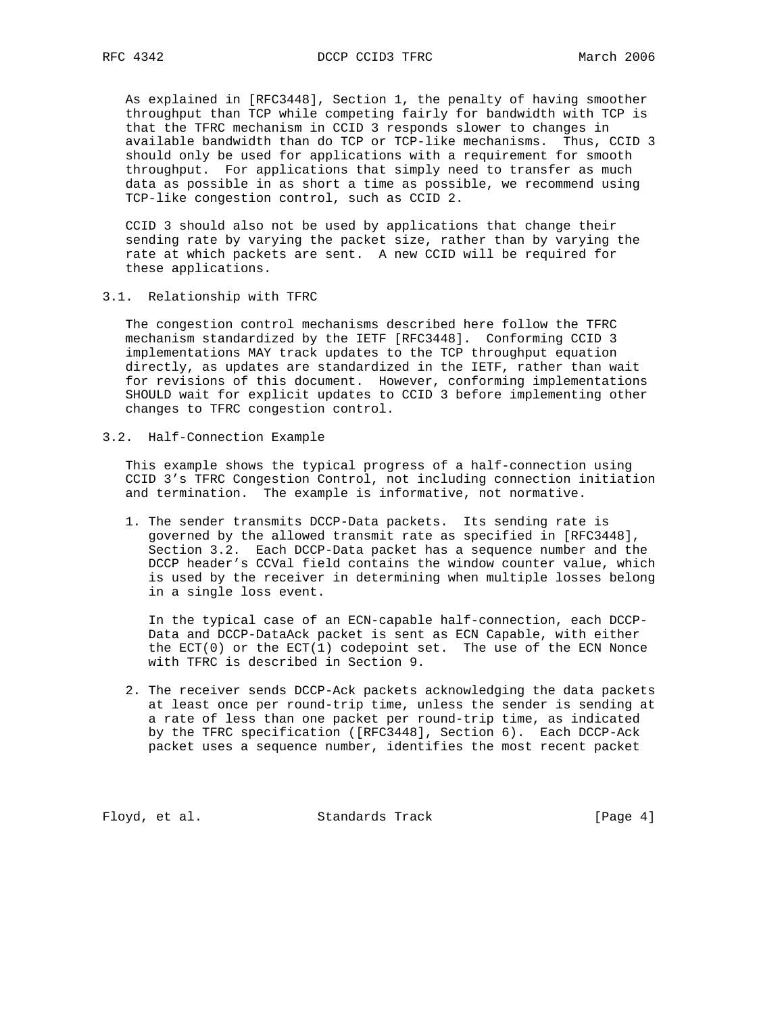As explained in [RFC3448], Section 1, the penalty of having smoother throughput than TCP while competing fairly for bandwidth with TCP is that the TFRC mechanism in CCID 3 responds slower to changes in available bandwidth than do TCP or TCP-like mechanisms. Thus, CCID 3 should only be used for applications with a requirement for smooth throughput. For applications that simply need to transfer as much data as possible in as short a time as possible, we recommend using TCP-like congestion control, such as CCID 2.

 CCID 3 should also not be used by applications that change their sending rate by varying the packet size, rather than by varying the rate at which packets are sent. A new CCID will be required for these applications.

3.1. Relationship with TFRC

 The congestion control mechanisms described here follow the TFRC mechanism standardized by the IETF [RFC3448]. Conforming CCID 3 implementations MAY track updates to the TCP throughput equation directly, as updates are standardized in the IETF, rather than wait for revisions of this document. However, conforming implementations SHOULD wait for explicit updates to CCID 3 before implementing other changes to TFRC congestion control.

3.2. Half-Connection Example

 This example shows the typical progress of a half-connection using CCID 3's TFRC Congestion Control, not including connection initiation and termination. The example is informative, not normative.

 1. The sender transmits DCCP-Data packets. Its sending rate is governed by the allowed transmit rate as specified in [RFC3448], Section 3.2. Each DCCP-Data packet has a sequence number and the DCCP header's CCVal field contains the window counter value, which is used by the receiver in determining when multiple losses belong in a single loss event.

 In the typical case of an ECN-capable half-connection, each DCCP- Data and DCCP-DataAck packet is sent as ECN Capable, with either the ECT(0) or the ECT(1) codepoint set. The use of the ECN Nonce with TFRC is described in Section 9.

 2. The receiver sends DCCP-Ack packets acknowledging the data packets at least once per round-trip time, unless the sender is sending at a rate of less than one packet per round-trip time, as indicated by the TFRC specification ([RFC3448], Section 6). Each DCCP-Ack packet uses a sequence number, identifies the most recent packet

Floyd, et al. Standards Track [Page 4]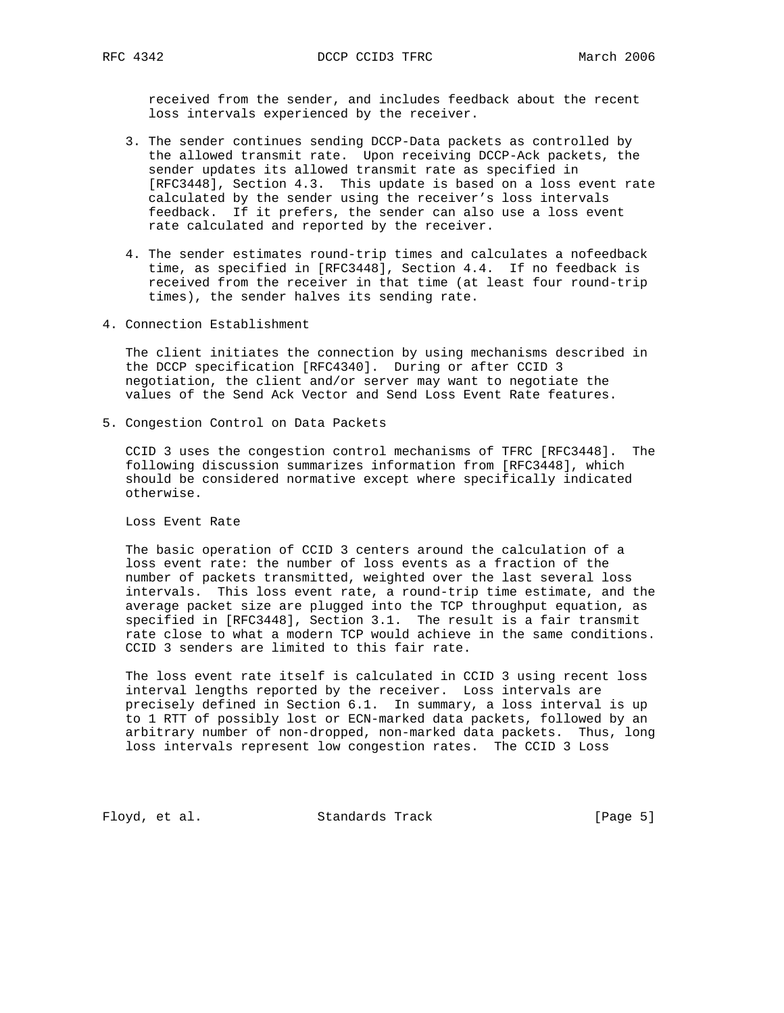received from the sender, and includes feedback about the recent loss intervals experienced by the receiver.

- 3. The sender continues sending DCCP-Data packets as controlled by the allowed transmit rate. Upon receiving DCCP-Ack packets, the sender updates its allowed transmit rate as specified in [RFC3448], Section 4.3. This update is based on a loss event rate calculated by the sender using the receiver's loss intervals feedback. If it prefers, the sender can also use a loss event rate calculated and reported by the receiver.
- 4. The sender estimates round-trip times and calculates a nofeedback time, as specified in [RFC3448], Section 4.4. If no feedback is received from the receiver in that time (at least four round-trip times), the sender halves its sending rate.
- 4. Connection Establishment

 The client initiates the connection by using mechanisms described in the DCCP specification [RFC4340]. During or after CCID 3 negotiation, the client and/or server may want to negotiate the values of the Send Ack Vector and Send Loss Event Rate features.

5. Congestion Control on Data Packets

 CCID 3 uses the congestion control mechanisms of TFRC [RFC3448]. The following discussion summarizes information from [RFC3448], which should be considered normative except where specifically indicated otherwise.

Loss Event Rate

 The basic operation of CCID 3 centers around the calculation of a loss event rate: the number of loss events as a fraction of the number of packets transmitted, weighted over the last several loss intervals. This loss event rate, a round-trip time estimate, and the average packet size are plugged into the TCP throughput equation, as specified in [RFC3448], Section 3.1. The result is a fair transmit rate close to what a modern TCP would achieve in the same conditions. CCID 3 senders are limited to this fair rate.

 The loss event rate itself is calculated in CCID 3 using recent loss interval lengths reported by the receiver. Loss intervals are precisely defined in Section 6.1. In summary, a loss interval is up to 1 RTT of possibly lost or ECN-marked data packets, followed by an arbitrary number of non-dropped, non-marked data packets. Thus, long loss intervals represent low congestion rates. The CCID 3 Loss

Floyd, et al. Standards Track [Page 5]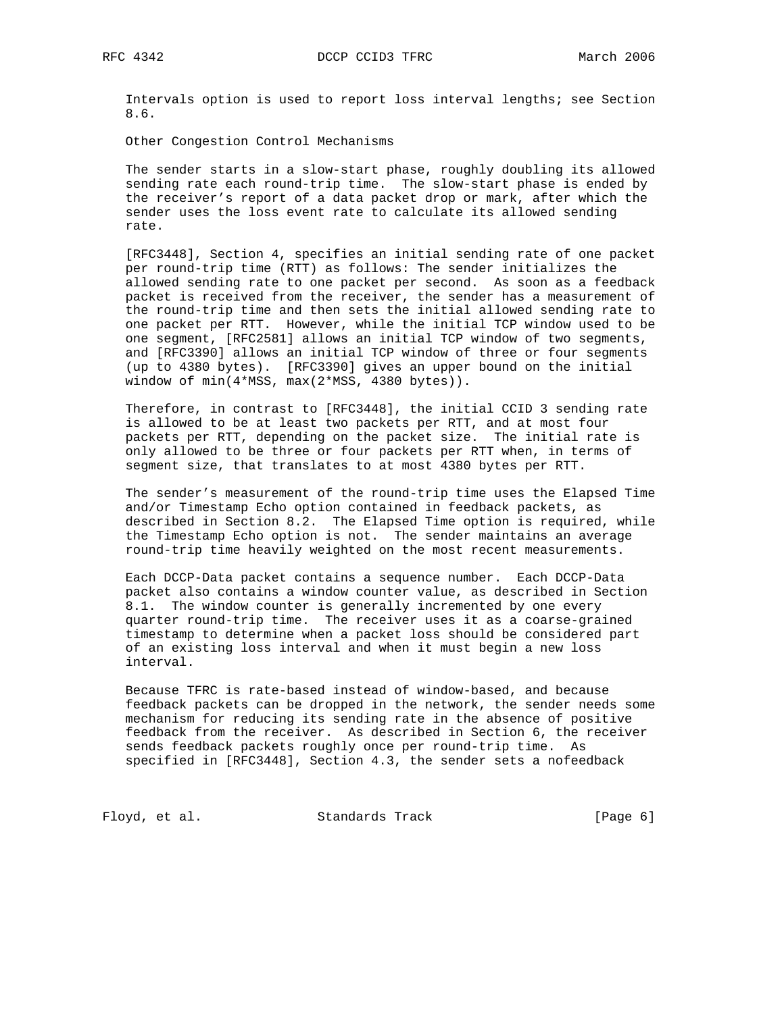Intervals option is used to report loss interval lengths; see Section 8.6.

Other Congestion Control Mechanisms

 The sender starts in a slow-start phase, roughly doubling its allowed sending rate each round-trip time. The slow-start phase is ended by the receiver's report of a data packet drop or mark, after which the sender uses the loss event rate to calculate its allowed sending rate.

 [RFC3448], Section 4, specifies an initial sending rate of one packet per round-trip time (RTT) as follows: The sender initializes the allowed sending rate to one packet per second. As soon as a feedback packet is received from the receiver, the sender has a measurement of the round-trip time and then sets the initial allowed sending rate to one packet per RTT. However, while the initial TCP window used to be one segment, [RFC2581] allows an initial TCP window of two segments, and [RFC3390] allows an initial TCP window of three or four segments (up to 4380 bytes). [RFC3390] gives an upper bound on the initial window of min(4\*MSS, max(2\*MSS, 4380 bytes)).

 Therefore, in contrast to [RFC3448], the initial CCID 3 sending rate is allowed to be at least two packets per RTT, and at most four packets per RTT, depending on the packet size. The initial rate is only allowed to be three or four packets per RTT when, in terms of segment size, that translates to at most 4380 bytes per RTT.

 The sender's measurement of the round-trip time uses the Elapsed Time and/or Timestamp Echo option contained in feedback packets, as described in Section 8.2. The Elapsed Time option is required, while the Timestamp Echo option is not. The sender maintains an average round-trip time heavily weighted on the most recent measurements.

 Each DCCP-Data packet contains a sequence number. Each DCCP-Data packet also contains a window counter value, as described in Section 8.1. The window counter is generally incremented by one every quarter round-trip time. The receiver uses it as a coarse-grained timestamp to determine when a packet loss should be considered part of an existing loss interval and when it must begin a new loss interval.

 Because TFRC is rate-based instead of window-based, and because feedback packets can be dropped in the network, the sender needs some mechanism for reducing its sending rate in the absence of positive feedback from the receiver. As described in Section 6, the receiver sends feedback packets roughly once per round-trip time. As specified in [RFC3448], Section 4.3, the sender sets a nofeedback

Floyd, et al. Standards Track [Page 6]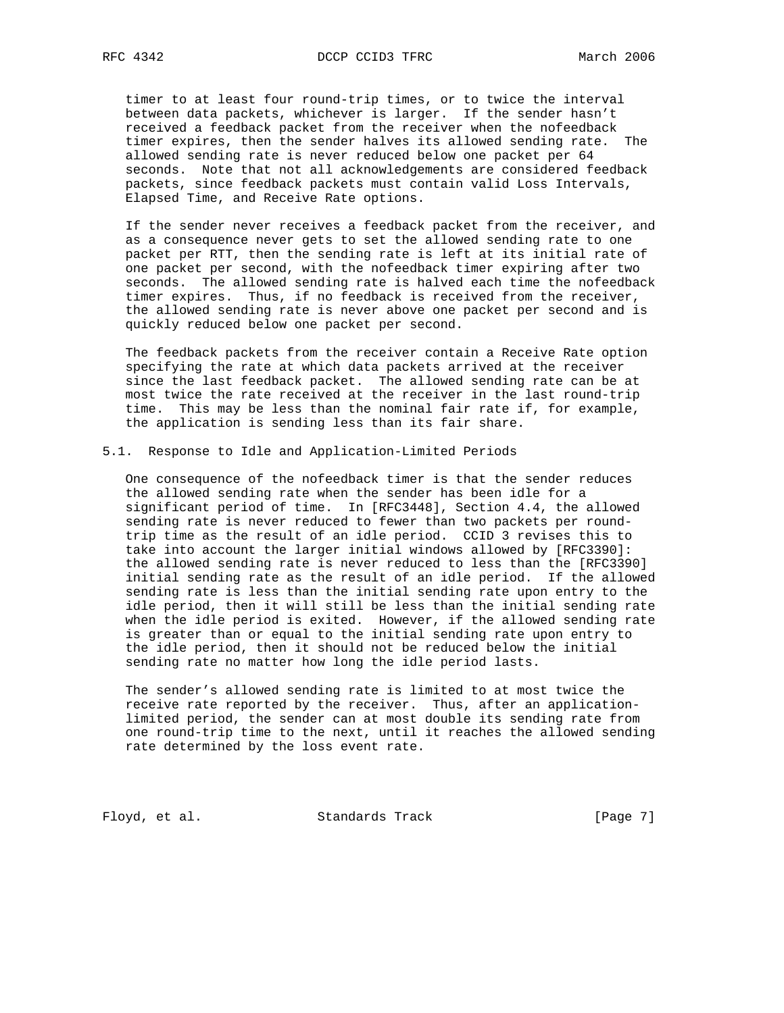timer to at least four round-trip times, or to twice the interval between data packets, whichever is larger. If the sender hasn't received a feedback packet from the receiver when the nofeedback timer expires, then the sender halves its allowed sending rate. The allowed sending rate is never reduced below one packet per 64 seconds. Note that not all acknowledgements are considered feedback packets, since feedback packets must contain valid Loss Intervals, Elapsed Time, and Receive Rate options.

 If the sender never receives a feedback packet from the receiver, and as a consequence never gets to set the allowed sending rate to one packet per RTT, then the sending rate is left at its initial rate of one packet per second, with the nofeedback timer expiring after two seconds. The allowed sending rate is halved each time the nofeedback timer expires. Thus, if no feedback is received from the receiver, the allowed sending rate is never above one packet per second and is quickly reduced below one packet per second.

 The feedback packets from the receiver contain a Receive Rate option specifying the rate at which data packets arrived at the receiver since the last feedback packet. The allowed sending rate can be at most twice the rate received at the receiver in the last round-trip time. This may be less than the nominal fair rate if, for example, the application is sending less than its fair share.

#### 5.1. Response to Idle and Application-Limited Periods

 One consequence of the nofeedback timer is that the sender reduces the allowed sending rate when the sender has been idle for a significant period of time. In [RFC3448], Section 4.4, the allowed sending rate is never reduced to fewer than two packets per round trip time as the result of an idle period. CCID 3 revises this to take into account the larger initial windows allowed by [RFC3390]: the allowed sending rate is never reduced to less than the [RFC3390] initial sending rate as the result of an idle period. If the allowed sending rate is less than the initial sending rate upon entry to the idle period, then it will still be less than the initial sending rate when the idle period is exited. However, if the allowed sending rate is greater than or equal to the initial sending rate upon entry to the idle period, then it should not be reduced below the initial sending rate no matter how long the idle period lasts.

 The sender's allowed sending rate is limited to at most twice the receive rate reported by the receiver. Thus, after an application limited period, the sender can at most double its sending rate from one round-trip time to the next, until it reaches the allowed sending rate determined by the loss event rate.

Floyd, et al. Standards Track [Page 7]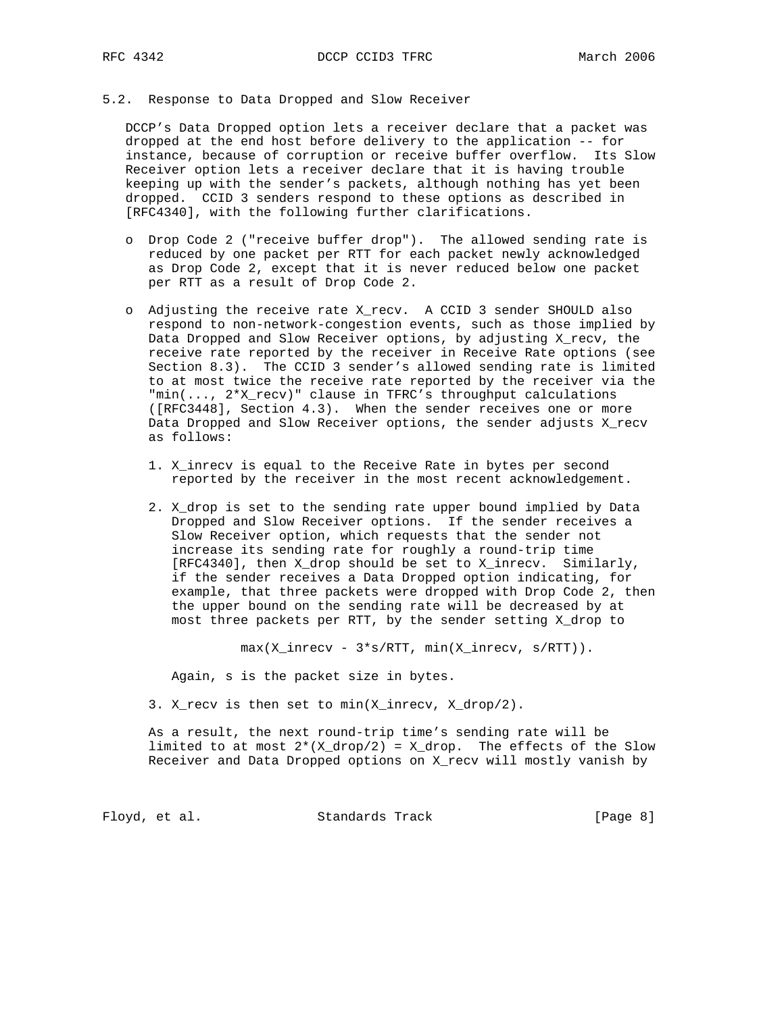## 5.2. Response to Data Dropped and Slow Receiver

 DCCP's Data Dropped option lets a receiver declare that a packet was dropped at the end host before delivery to the application -- for instance, because of corruption or receive buffer overflow. Its Slow Receiver option lets a receiver declare that it is having trouble keeping up with the sender's packets, although nothing has yet been dropped. CCID 3 senders respond to these options as described in [RFC4340], with the following further clarifications.

- o Drop Code 2 ("receive buffer drop"). The allowed sending rate is reduced by one packet per RTT for each packet newly acknowledged as Drop Code 2, except that it is never reduced below one packet per RTT as a result of Drop Code 2.
- o Adjusting the receive rate X\_recv. A CCID 3 sender SHOULD also respond to non-network-congestion events, such as those implied by Data Dropped and Slow Receiver options, by adjusting X\_recv, the receive rate reported by the receiver in Receive Rate options (see Section 8.3). The CCID 3 sender's allowed sending rate is limited to at most twice the receive rate reported by the receiver via the "min(..., 2\*X\_recv)" clause in TFRC's throughput calculations ([RFC3448], Section 4.3). When the sender receives one or more Data Dropped and Slow Receiver options, the sender adjusts X\_recv as follows:
	- 1. X\_inrecv is equal to the Receive Rate in bytes per second reported by the receiver in the most recent acknowledgement.
	- 2. X\_drop is set to the sending rate upper bound implied by Data Dropped and Slow Receiver options. If the sender receives a Slow Receiver option, which requests that the sender not increase its sending rate for roughly a round-trip time [RFC4340], then X\_drop should be set to X\_inrecv. Similarly, if the sender receives a Data Dropped option indicating, for example, that three packets were dropped with Drop Code 2, then the upper bound on the sending rate will be decreased by at most three packets per RTT, by the sender setting X\_drop to

max(X\_inrecv - 3\*s/RTT, min(X\_inrecv, s/RTT)).

Again, s is the packet size in bytes.

3. X\_recv is then set to min(X\_inrecv, X\_drop/2).

 As a result, the next round-trip time's sending rate will be limited to at most  $2*(X_drop/2) = X_drop$ . The effects of the Slow Receiver and Data Dropped options on X\_recv will mostly vanish by

Floyd, et al. Standards Track [Page 8]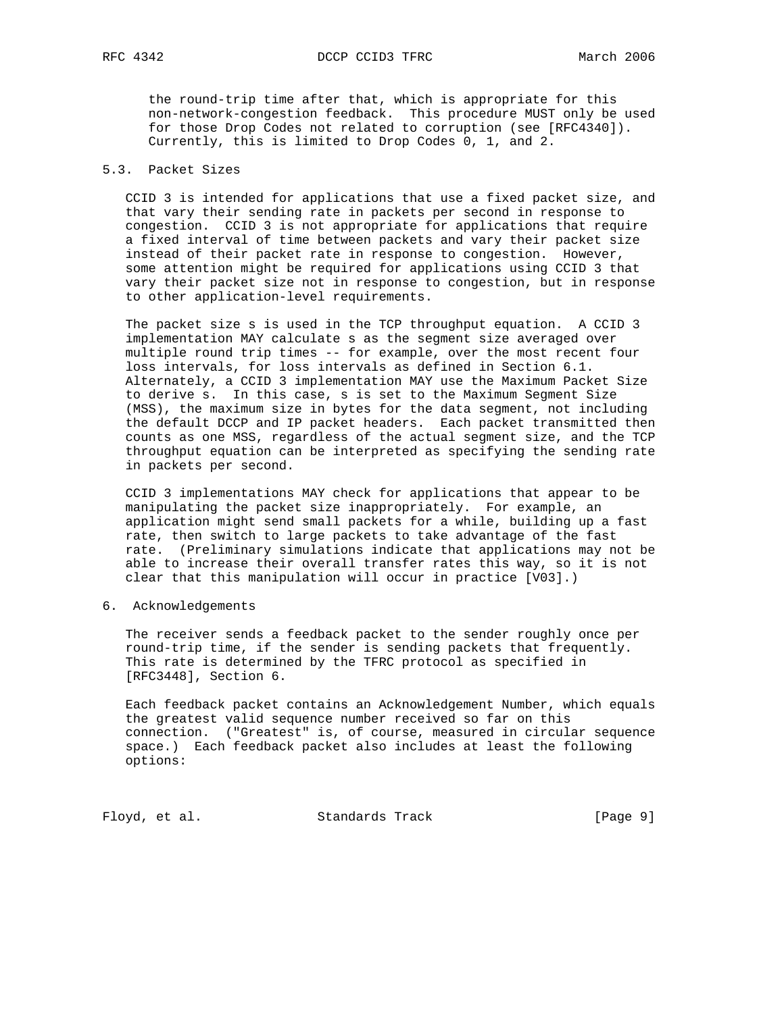the round-trip time after that, which is appropriate for this non-network-congestion feedback. This procedure MUST only be used for those Drop Codes not related to corruption (see [RFC4340]). Currently, this is limited to Drop Codes 0, 1, and 2.

# 5.3. Packet Sizes

 CCID 3 is intended for applications that use a fixed packet size, and that vary their sending rate in packets per second in response to congestion. CCID 3 is not appropriate for applications that require a fixed interval of time between packets and vary their packet size instead of their packet rate in response to congestion. However, some attention might be required for applications using CCID 3 that vary their packet size not in response to congestion, but in response to other application-level requirements.

 The packet size s is used in the TCP throughput equation. A CCID 3 implementation MAY calculate s as the segment size averaged over multiple round trip times -- for example, over the most recent four loss intervals, for loss intervals as defined in Section 6.1. Alternately, a CCID 3 implementation MAY use the Maximum Packet Size to derive s. In this case, s is set to the Maximum Segment Size (MSS), the maximum size in bytes for the data segment, not including the default DCCP and IP packet headers. Each packet transmitted then counts as one MSS, regardless of the actual segment size, and the TCP throughput equation can be interpreted as specifying the sending rate in packets per second.

 CCID 3 implementations MAY check for applications that appear to be manipulating the packet size inappropriately. For example, an application might send small packets for a while, building up a fast rate, then switch to large packets to take advantage of the fast rate. (Preliminary simulations indicate that applications may not be able to increase their overall transfer rates this way, so it is not clear that this manipulation will occur in practice [V03].)

6. Acknowledgements

 The receiver sends a feedback packet to the sender roughly once per round-trip time, if the sender is sending packets that frequently. This rate is determined by the TFRC protocol as specified in [RFC3448], Section 6.

 Each feedback packet contains an Acknowledgement Number, which equals the greatest valid sequence number received so far on this connection. ("Greatest" is, of course, measured in circular sequence space.) Each feedback packet also includes at least the following options:

Floyd, et al. Standards Track [Page 9]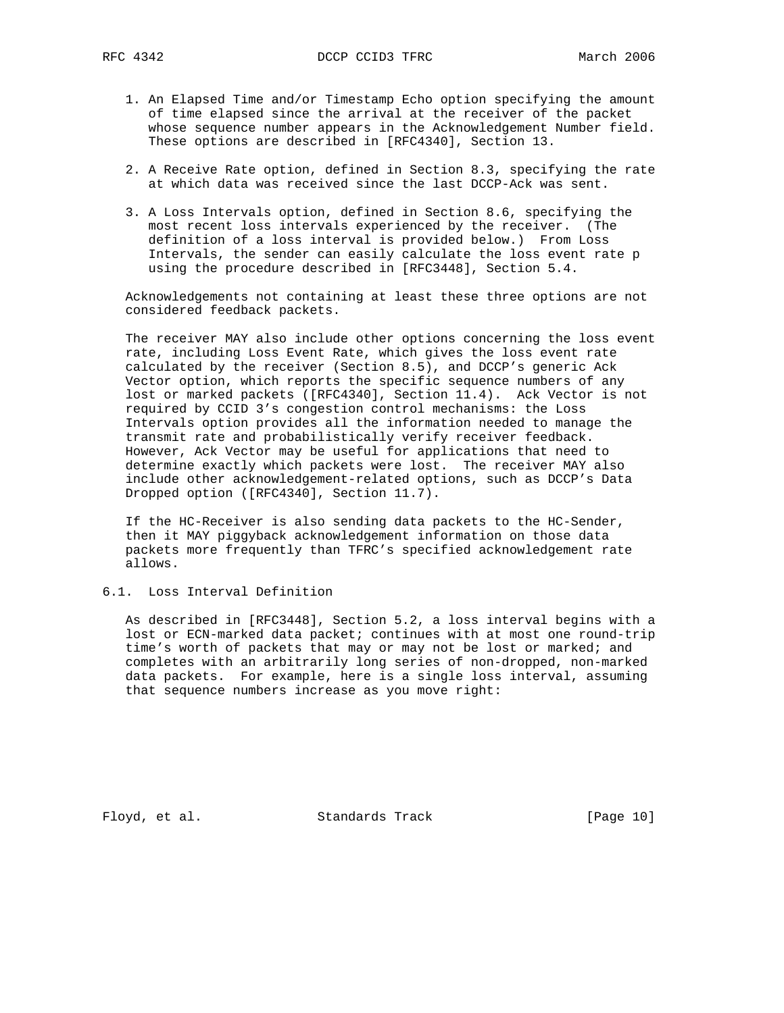- 1. An Elapsed Time and/or Timestamp Echo option specifying the amount of time elapsed since the arrival at the receiver of the packet whose sequence number appears in the Acknowledgement Number field. These options are described in [RFC4340], Section 13.
- 2. A Receive Rate option, defined in Section 8.3, specifying the rate at which data was received since the last DCCP-Ack was sent.
- 3. A Loss Intervals option, defined in Section 8.6, specifying the most recent loss intervals experienced by the receiver. (The definition of a loss interval is provided below.) From Loss Intervals, the sender can easily calculate the loss event rate p using the procedure described in [RFC3448], Section 5.4.

 Acknowledgements not containing at least these three options are not considered feedback packets.

 The receiver MAY also include other options concerning the loss event rate, including Loss Event Rate, which gives the loss event rate calculated by the receiver (Section 8.5), and DCCP's generic Ack Vector option, which reports the specific sequence numbers of any lost or marked packets ([RFC4340], Section 11.4). Ack Vector is not required by CCID 3's congestion control mechanisms: the Loss Intervals option provides all the information needed to manage the transmit rate and probabilistically verify receiver feedback. However, Ack Vector may be useful for applications that need to determine exactly which packets were lost. The receiver MAY also include other acknowledgement-related options, such as DCCP's Data Dropped option ([RFC4340], Section 11.7).

 If the HC-Receiver is also sending data packets to the HC-Sender, then it MAY piggyback acknowledgement information on those data packets more frequently than TFRC's specified acknowledgement rate allows.

### 6.1. Loss Interval Definition

 As described in [RFC3448], Section 5.2, a loss interval begins with a lost or ECN-marked data packet; continues with at most one round-trip time's worth of packets that may or may not be lost or marked; and completes with an arbitrarily long series of non-dropped, non-marked data packets. For example, here is a single loss interval, assuming that sequence numbers increase as you move right:

Floyd, et al. Standards Track [Page 10]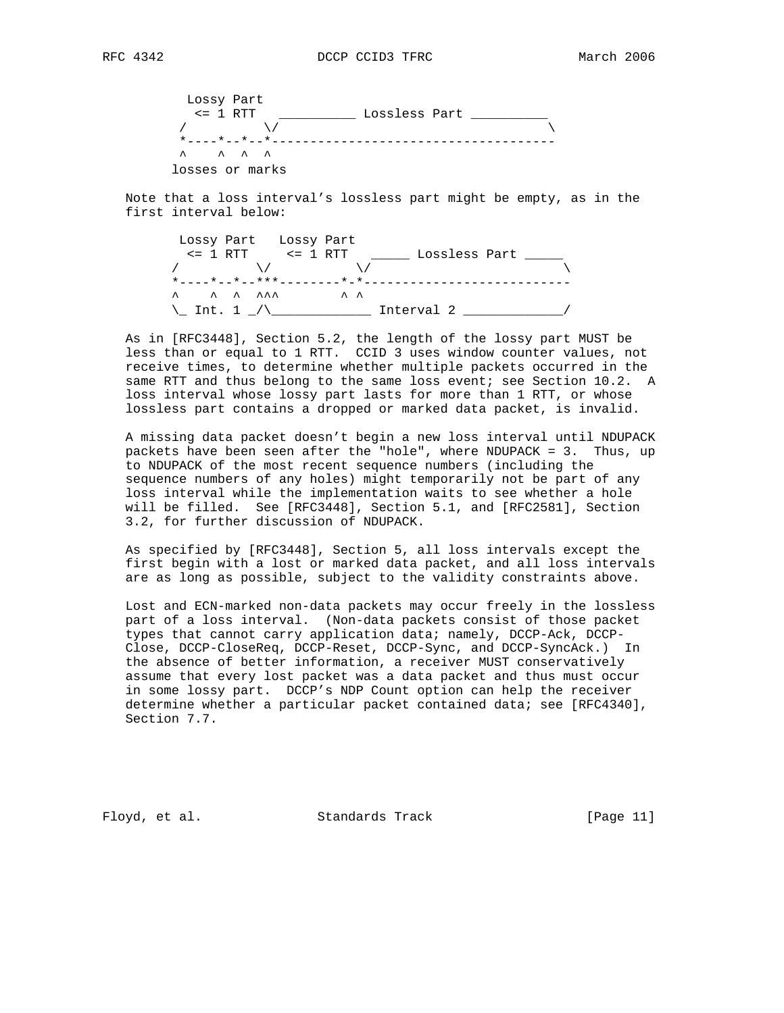

 Note that a loss interval's lossless part might be empty, as in the first interval below:

 Lossy Part Lossy Part <= 1 RTT <= 1 RTT \_\_\_\_\_ Lossless Part \_\_\_\_\_  $\lambda$  /  $\lambda$  /  $\lambda$  /  $\lambda$  /  $\lambda$  /  $\lambda$  \*----\*--\*--\*\*\*--------\*-\*---------------------------  $\wedge$   $\wedge$   $\wedge$   $\wedge$   $\wedge$   $\wedge$   $\wedge$   $\wedge$   $\wedge$   $\wedge$ \\_ Int. 1 \_/\\_\_\_\_\_\_\_\_\_\_\_\_\_ Interval 2 \_\_\_\_\_\_\_\_\_\_\_\_\_/

 As in [RFC3448], Section 5.2, the length of the lossy part MUST be less than or equal to 1 RTT. CCID 3 uses window counter values, not receive times, to determine whether multiple packets occurred in the same RTT and thus belong to the same loss event; see Section 10.2. A loss interval whose lossy part lasts for more than 1 RTT, or whose lossless part contains a dropped or marked data packet, is invalid.

 A missing data packet doesn't begin a new loss interval until NDUPACK packets have been seen after the "hole", where NDUPACK = 3. Thus, up to NDUPACK of the most recent sequence numbers (including the sequence numbers of any holes) might temporarily not be part of any loss interval while the implementation waits to see whether a hole will be filled. See [RFC3448], Section 5.1, and [RFC2581], Section 3.2, for further discussion of NDUPACK.

 As specified by [RFC3448], Section 5, all loss intervals except the first begin with a lost or marked data packet, and all loss intervals are as long as possible, subject to the validity constraints above.

 Lost and ECN-marked non-data packets may occur freely in the lossless part of a loss interval. (Non-data packets consist of those packet types that cannot carry application data; namely, DCCP-Ack, DCCP- Close, DCCP-CloseReq, DCCP-Reset, DCCP-Sync, and DCCP-SyncAck.) In the absence of better information, a receiver MUST conservatively assume that every lost packet was a data packet and thus must occur in some lossy part. DCCP's NDP Count option can help the receiver determine whether a particular packet contained data; see [RFC4340], Section 7.7.

Floyd, et al. Standards Track [Page 11]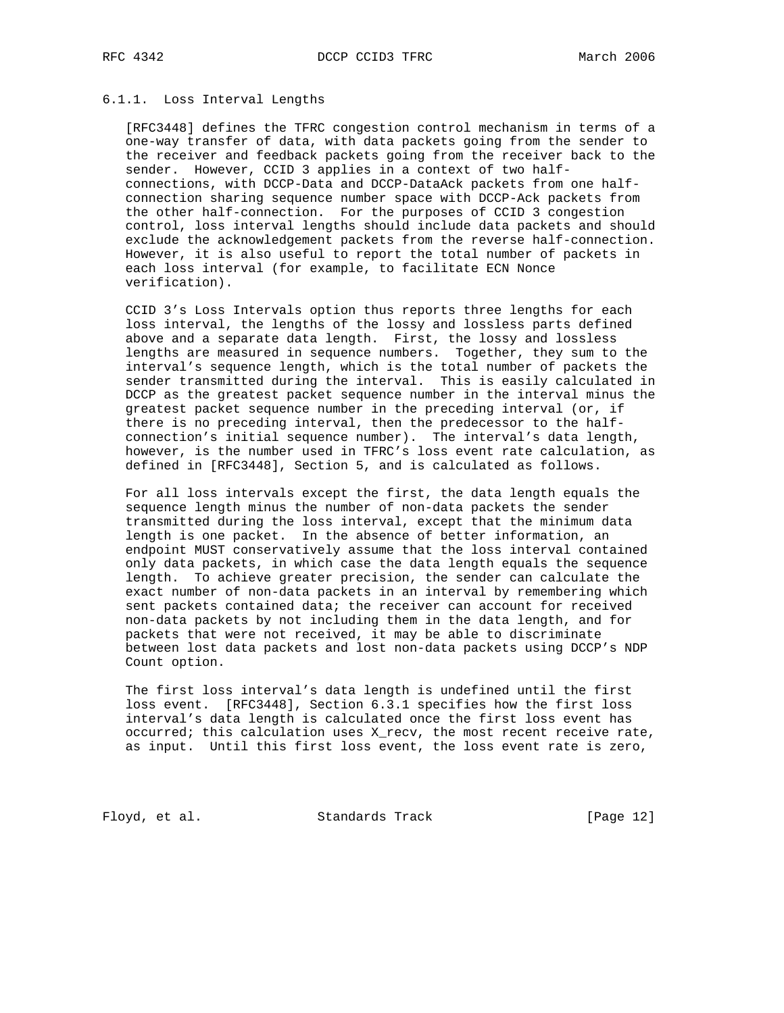### 6.1.1. Loss Interval Lengths

 [RFC3448] defines the TFRC congestion control mechanism in terms of a one-way transfer of data, with data packets going from the sender to the receiver and feedback packets going from the receiver back to the sender. However, CCID 3 applies in a context of two half connections, with DCCP-Data and DCCP-DataAck packets from one half connection sharing sequence number space with DCCP-Ack packets from the other half-connection. For the purposes of CCID 3 congestion control, loss interval lengths should include data packets and should exclude the acknowledgement packets from the reverse half-connection. However, it is also useful to report the total number of packets in each loss interval (for example, to facilitate ECN Nonce verification).

 CCID 3's Loss Intervals option thus reports three lengths for each loss interval, the lengths of the lossy and lossless parts defined above and a separate data length. First, the lossy and lossless lengths are measured in sequence numbers. Together, they sum to the interval's sequence length, which is the total number of packets the sender transmitted during the interval. This is easily calculated in DCCP as the greatest packet sequence number in the interval minus the greatest packet sequence number in the preceding interval (or, if there is no preceding interval, then the predecessor to the half connection's initial sequence number). The interval's data length, however, is the number used in TFRC's loss event rate calculation, as defined in [RFC3448], Section 5, and is calculated as follows.

 For all loss intervals except the first, the data length equals the sequence length minus the number of non-data packets the sender transmitted during the loss interval, except that the minimum data length is one packet. In the absence of better information, an endpoint MUST conservatively assume that the loss interval contained only data packets, in which case the data length equals the sequence length. To achieve greater precision, the sender can calculate the exact number of non-data packets in an interval by remembering which sent packets contained data; the receiver can account for received non-data packets by not including them in the data length, and for packets that were not received, it may be able to discriminate between lost data packets and lost non-data packets using DCCP's NDP Count option.

 The first loss interval's data length is undefined until the first loss event. [RFC3448], Section 6.3.1 specifies how the first loss interval's data length is calculated once the first loss event has occurred; this calculation uses X\_recv, the most recent receive rate, as input. Until this first loss event, the loss event rate is zero,

Floyd, et al. Standards Track [Page 12]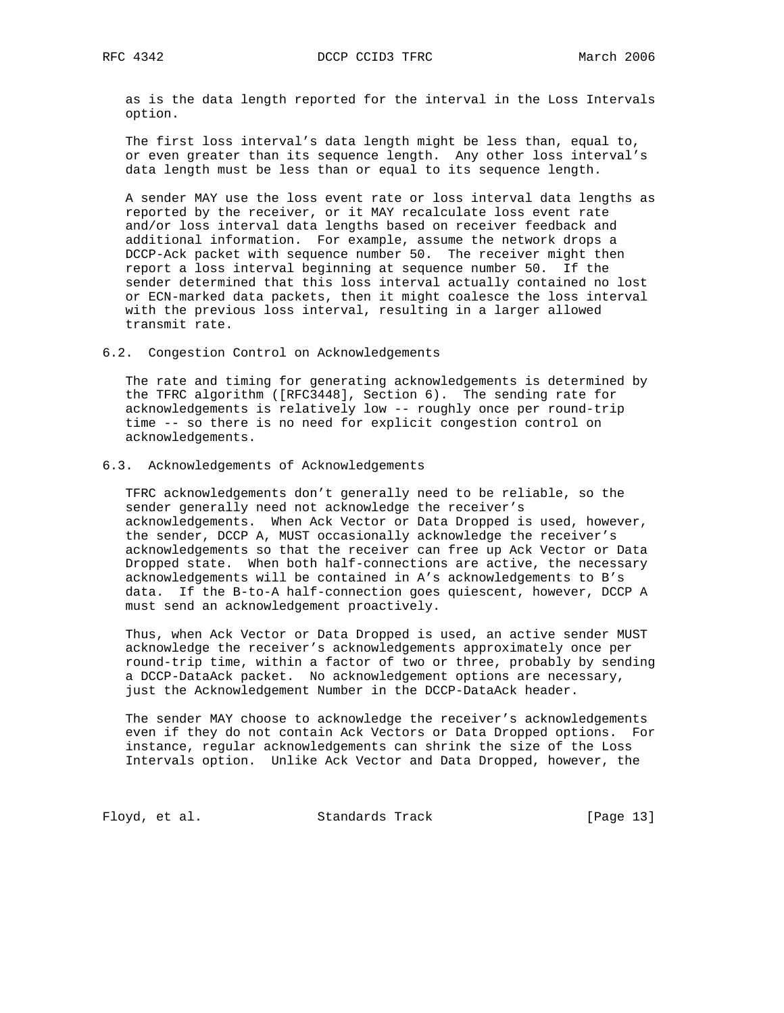as is the data length reported for the interval in the Loss Intervals option.

 The first loss interval's data length might be less than, equal to, or even greater than its sequence length. Any other loss interval's data length must be less than or equal to its sequence length.

 A sender MAY use the loss event rate or loss interval data lengths as reported by the receiver, or it MAY recalculate loss event rate and/or loss interval data lengths based on receiver feedback and additional information. For example, assume the network drops a DCCP-Ack packet with sequence number 50. The receiver might then report a loss interval beginning at sequence number 50. If the sender determined that this loss interval actually contained no lost or ECN-marked data packets, then it might coalesce the loss interval with the previous loss interval, resulting in a larger allowed transmit rate.

6.2. Congestion Control on Acknowledgements

 The rate and timing for generating acknowledgements is determined by the TFRC algorithm ([RFC3448], Section 6). The sending rate for acknowledgements is relatively low -- roughly once per round-trip time -- so there is no need for explicit congestion control on acknowledgements.

6.3. Acknowledgements of Acknowledgements

 TFRC acknowledgements don't generally need to be reliable, so the sender generally need not acknowledge the receiver's acknowledgements. When Ack Vector or Data Dropped is used, however, the sender, DCCP A, MUST occasionally acknowledge the receiver's acknowledgements so that the receiver can free up Ack Vector or Data Dropped state. When both half-connections are active, the necessary acknowledgements will be contained in A's acknowledgements to B's data. If the B-to-A half-connection goes quiescent, however, DCCP A must send an acknowledgement proactively.

 Thus, when Ack Vector or Data Dropped is used, an active sender MUST acknowledge the receiver's acknowledgements approximately once per round-trip time, within a factor of two or three, probably by sending a DCCP-DataAck packet. No acknowledgement options are necessary, just the Acknowledgement Number in the DCCP-DataAck header.

 The sender MAY choose to acknowledge the receiver's acknowledgements even if they do not contain Ack Vectors or Data Dropped options. For instance, regular acknowledgements can shrink the size of the Loss Intervals option. Unlike Ack Vector and Data Dropped, however, the

Floyd, et al. Standards Track [Page 13]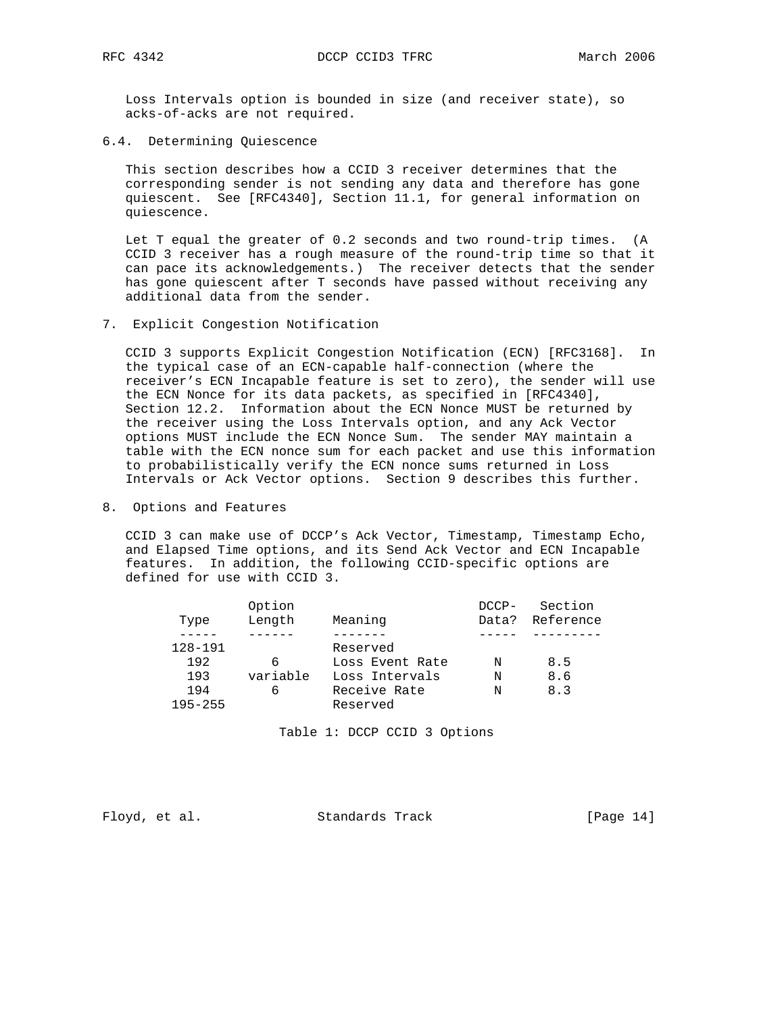Loss Intervals option is bounded in size (and receiver state), so acks-of-acks are not required.

6.4. Determining Quiescence

 This section describes how a CCID 3 receiver determines that the corresponding sender is not sending any data and therefore has gone quiescent. See [RFC4340], Section 11.1, for general information on quiescence.

 Let T equal the greater of 0.2 seconds and two round-trip times. (A CCID 3 receiver has a rough measure of the round-trip time so that it can pace its acknowledgements.) The receiver detects that the sender has gone quiescent after T seconds have passed without receiving any additional data from the sender.

7. Explicit Congestion Notification

 CCID 3 supports Explicit Congestion Notification (ECN) [RFC3168]. In the typical case of an ECN-capable half-connection (where the receiver's ECN Incapable feature is set to zero), the sender will use the ECN Nonce for its data packets, as specified in [RFC4340], Section 12.2. Information about the ECN Nonce MUST be returned by the receiver using the Loss Intervals option, and any Ack Vector options MUST include the ECN Nonce Sum. The sender MAY maintain a table with the ECN nonce sum for each packet and use this information to probabilistically verify the ECN nonce sums returned in Loss Intervals or Ack Vector options. Section 9 describes this further.

8. Options and Features

 CCID 3 can make use of DCCP's Ack Vector, Timestamp, Timestamp Echo, and Elapsed Time options, and its Send Ack Vector and ECN Incapable features. In addition, the following CCID-specific options are defined for use with CCID 3.

| Length<br>Meaning<br>Data?<br>Type<br>128-191<br>Reserved<br>192<br>8.5<br>Loss Event Rate<br>6<br>N<br>variable<br>8.6<br>193<br>Loss Intervals<br>N<br>Receive Rate<br>8.3<br>194<br>6<br>N<br>$195 - 255$<br>Reserved |  | Option | $DCCP-$ | Section   |
|--------------------------------------------------------------------------------------------------------------------------------------------------------------------------------------------------------------------------|--|--------|---------|-----------|
|                                                                                                                                                                                                                          |  |        |         | Reference |
|                                                                                                                                                                                                                          |  |        |         |           |
|                                                                                                                                                                                                                          |  |        |         |           |
|                                                                                                                                                                                                                          |  |        |         |           |
|                                                                                                                                                                                                                          |  |        |         |           |
|                                                                                                                                                                                                                          |  |        |         |           |
|                                                                                                                                                                                                                          |  |        |         |           |

Table 1: DCCP CCID 3 Options

Floyd, et al. Standards Track [Page 14]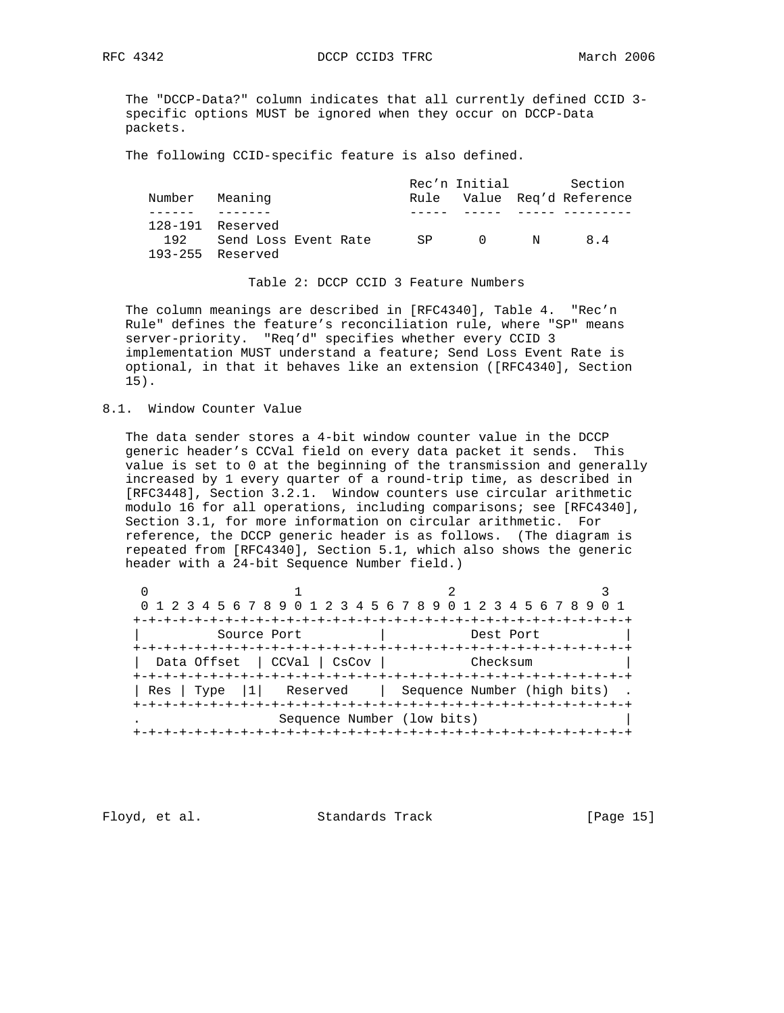The "DCCP-Data?" column indicates that all currently defined CCID 3 specific options MUST be ignored when they occur on DCCP-Data packets.

The following CCID-specific feature is also defined.

|                           |                      |  |     |          |   | Rec'n Initial Section      |
|---------------------------|----------------------|--|-----|----------|---|----------------------------|
| Number Meaning            |                      |  |     |          |   | Rule Value Reg'd Reference |
|                           |                      |  |     |          |   |                            |
| $128-191$ Reserved<br>192 | Send Loss Event Rate |  | SP. | $\Omega$ | N | 84                         |
| $193 - 255$ Reserved      |                      |  |     |          |   |                            |

Table 2: DCCP CCID 3 Feature Numbers

 The column meanings are described in [RFC4340], Table 4. "Rec'n Rule" defines the feature's reconciliation rule, where "SP" means server-priority. "Req'd" specifies whether every CCID 3 implementation MUST understand a feature; Send Loss Event Rate is optional, in that it behaves like an extension ([RFC4340], Section 15).

8.1. Window Counter Value

 The data sender stores a 4-bit window counter value in the DCCP generic header's CCVal field on every data packet it sends. This value is set to 0 at the beginning of the transmission and generally increased by 1 every quarter of a round-trip time, as described in [RFC3448], Section 3.2.1. Window counters use circular arithmetic modulo 16 for all operations, including comparisons; see [RFC4340], Section 3.1, for more information on circular arithmetic. For reference, the DCCP generic header is as follows. (The diagram is repeated from [RFC4340], Section 5.1, which also shows the generic header with a 24-bit Sequence Number field.)

|             | 0 1 2 3 4 5 6 7 8 9 0 1 2 3 4 5 6 7 8 9 0 1 2 3 4 5 6 7 8 9 |                                     |                                               |  |  |  |  |  |  |
|-------------|-------------------------------------------------------------|-------------------------------------|-----------------------------------------------|--|--|--|--|--|--|
|             |                                                             | +-+-+-+-+-+-+-+-+-+-+-+-+-+-+-+-+-+ |                                               |  |  |  |  |  |  |
|             | Source Port                                                 |                                     | Dest Port                                     |  |  |  |  |  |  |
|             |                                                             |                                     |                                               |  |  |  |  |  |  |
|             | Data Offset   CCVal   CsCov                                 |                                     | Checksum                                      |  |  |  |  |  |  |
|             |                                                             |                                     |                                               |  |  |  |  |  |  |
| Type<br>Res |                                                             |                                     | $ 1 $ Reserved   Sequence Number (high bits). |  |  |  |  |  |  |
|             |                                                             |                                     | -+-+-+-+-+-+-+-+-+-+-+-+-+-+-+-+-+-           |  |  |  |  |  |  |
|             |                                                             | Sequence Number (low bits)          |                                               |  |  |  |  |  |  |
|             | -+-+-+-+-+-+-+-+-+-+-+-+-+-+-+-+-+-+-+-                     |                                     |                                               |  |  |  |  |  |  |

Floyd, et al. Standards Track [Page 15]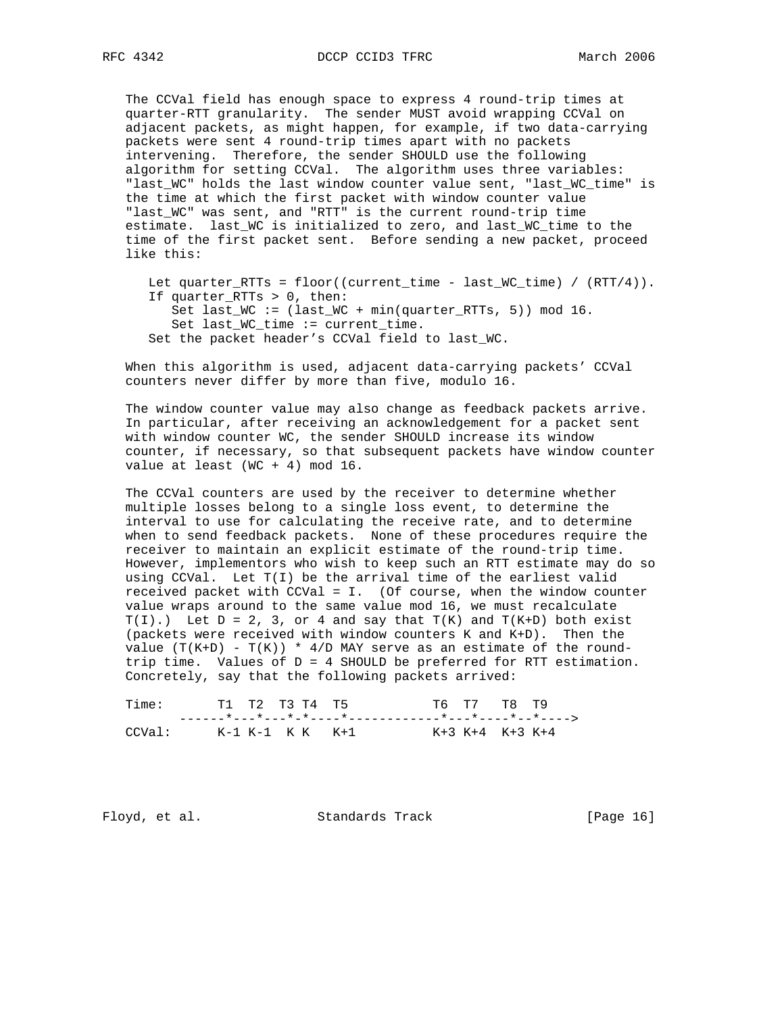The CCVal field has enough space to express 4 round-trip times at quarter-RTT granularity. The sender MUST avoid wrapping CCVal on adjacent packets, as might happen, for example, if two data-carrying packets were sent 4 round-trip times apart with no packets intervening. Therefore, the sender SHOULD use the following algorithm for setting CCVal. The algorithm uses three variables: "last\_WC" holds the last window counter value sent, "last\_WC\_time" is the time at which the first packet with window counter value "last\_WC" was sent, and "RTT" is the current round-trip time estimate. last\_WC is initialized to zero, and last\_WC\_time to the time of the first packet sent. Before sending a new packet, proceed like this:

Let quarter\_RTTs =  $floor((current_time - last_WC_time) / (RTT/4)).$  If quarter\_RTTs > 0, then: Set last\_WC :=  $\text{(last_WC + min-quarter\_RTTs, 5)}) \text{ mod } 16$ . Set last\_WC\_time := current\_time. Set the packet header's CCVal field to last\_WC.

 When this algorithm is used, adjacent data-carrying packets' CCVal counters never differ by more than five, modulo 16.

 The window counter value may also change as feedback packets arrive. In particular, after receiving an acknowledgement for a packet sent with window counter WC, the sender SHOULD increase its window counter, if necessary, so that subsequent packets have window counter value at least (WC + 4) mod 16.

 The CCVal counters are used by the receiver to determine whether multiple losses belong to a single loss event, to determine the interval to use for calculating the receive rate, and to determine when to send feedback packets. None of these procedures require the receiver to maintain an explicit estimate of the round-trip time. However, implementors who wish to keep such an RTT estimate may do so using CCVal. Let T(I) be the arrival time of the earliest valid received packet with CCVal = I. (Of course, when the window counter value wraps around to the same value mod 16, we must recalculate  $T(I)$ .) Let  $D = 2$ , 3, or 4 and say that  $T(K)$  and  $T(K+D)$  both exist (packets were received with window counters K and K+D). Then the value  $(T(K+D) - T(K)) * 4/D$  MAY serve as an estimate of the round trip time. Values of D = 4 SHOULD be preferred for RTT estimation. Concretely, say that the following packets arrived:

| Time:  | T1 T2 T3 T4 T5 |  |                           |  | T6 T7 T8 T9     |  |
|--------|----------------|--|---------------------------|--|-----------------|--|
|        |                |  |                           |  |                 |  |
| CCVal: |                |  | $K-1$ $K-1$ $K$ $K$ $K+1$ |  | K+3 K+4 K+3 K+4 |  |

Floyd, et al. Standards Track [Page 16]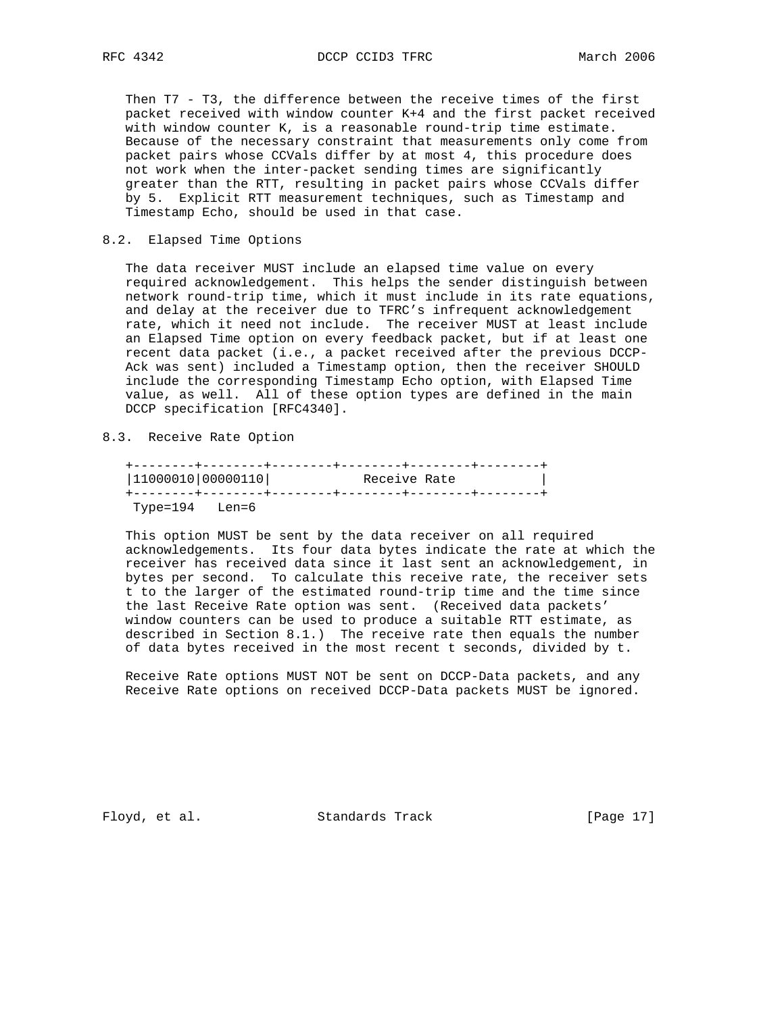Then T7 - T3, the difference between the receive times of the first packet received with window counter K+4 and the first packet received with window counter K, is a reasonable round-trip time estimate. Because of the necessary constraint that measurements only come from packet pairs whose CCVals differ by at most 4, this procedure does not work when the inter-packet sending times are significantly greater than the RTT, resulting in packet pairs whose CCVals differ by 5. Explicit RTT measurement techniques, such as Timestamp and Timestamp Echo, should be used in that case.

### 8.2. Elapsed Time Options

 The data receiver MUST include an elapsed time value on every required acknowledgement. This helps the sender distinguish between network round-trip time, which it must include in its rate equations, and delay at the receiver due to TFRC's infrequent acknowledgement rate, which it need not include. The receiver MUST at least include an Elapsed Time option on every feedback packet, but if at least one recent data packet (i.e., a packet received after the previous DCCP- Ack was sent) included a Timestamp option, then the receiver SHOULD include the corresponding Timestamp Echo option, with Elapsed Time value, as well. All of these option types are defined in the main DCCP specification [RFC4340].

8.3. Receive Rate Option

| 11000010 00000110 | Receive Rate |  |  |  |  |  |  |
|-------------------|--------------|--|--|--|--|--|--|
|                   |              |  |  |  |  |  |  |
| Type=194 Len=6    |              |  |  |  |  |  |  |

 This option MUST be sent by the data receiver on all required acknowledgements. Its four data bytes indicate the rate at which the receiver has received data since it last sent an acknowledgement, in bytes per second. To calculate this receive rate, the receiver sets t to the larger of the estimated round-trip time and the time since the last Receive Rate option was sent. (Received data packets' window counters can be used to produce a suitable RTT estimate, as described in Section 8.1.) The receive rate then equals the number of data bytes received in the most recent t seconds, divided by t.

 Receive Rate options MUST NOT be sent on DCCP-Data packets, and any Receive Rate options on received DCCP-Data packets MUST be ignored.

Floyd, et al. Standards Track [Page 17]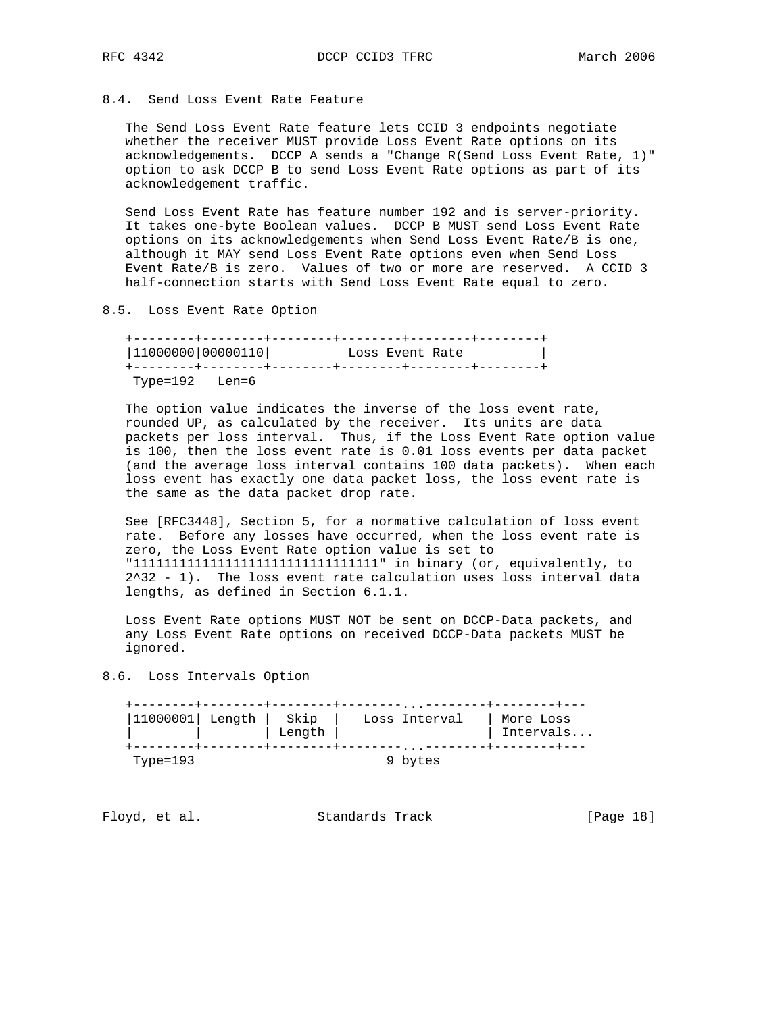# 8.4. Send Loss Event Rate Feature

 The Send Loss Event Rate feature lets CCID 3 endpoints negotiate whether the receiver MUST provide Loss Event Rate options on its acknowledgements. DCCP A sends a "Change R(Send Loss Event Rate, 1)" option to ask DCCP B to send Loss Event Rate options as part of its acknowledgement traffic.

 Send Loss Event Rate has feature number 192 and is server-priority. It takes one-byte Boolean values. DCCP B MUST send Loss Event Rate options on its acknowledgements when Send Loss Event Rate/B is one, although it MAY send Loss Event Rate options even when Send Loss Event Rate/B is zero. Values of two or more are reserved. A CCID 3 half-connection starts with Send Loss Event Rate equal to zero.

8.5. Loss Event Rate Option

 +--------+--------+--------+--------+--------+--------+ |11000000|00000110| Loss Event Rate | +--------+--------+--------+--------+--------+--------+ Type=192 Len=6

 The option value indicates the inverse of the loss event rate, rounded UP, as calculated by the receiver. Its units are data packets per loss interval. Thus, if the Loss Event Rate option value is 100, then the loss event rate is 0.01 loss events per data packet (and the average loss interval contains 100 data packets). When each loss event has exactly one data packet loss, the loss event rate is the same as the data packet drop rate.

 See [RFC3448], Section 5, for a normative calculation of loss event rate. Before any losses have occurred, when the loss event rate is zero, the Loss Event Rate option value is set to "11111111111111111111111111111111" in binary (or, equivalently, to  $2^3$ 32 - 1). The loss event rate calculation uses loss interval data lengths, as defined in Section 6.1.1.

 Loss Event Rate options MUST NOT be sent on DCCP-Data packets, and any Loss Event Rate options on received DCCP-Data packets MUST be ignored.

8.6. Loss Intervals Option

| $ 11000001 $ Length | Skip<br>Length | .<br>Loss Interval  | More Loss<br>Intervals |
|---------------------|----------------|---------------------|------------------------|
| Type=193            |                | $\cdots$<br>9 bytes |                        |

Floyd, et al. Standards Track [Page 18]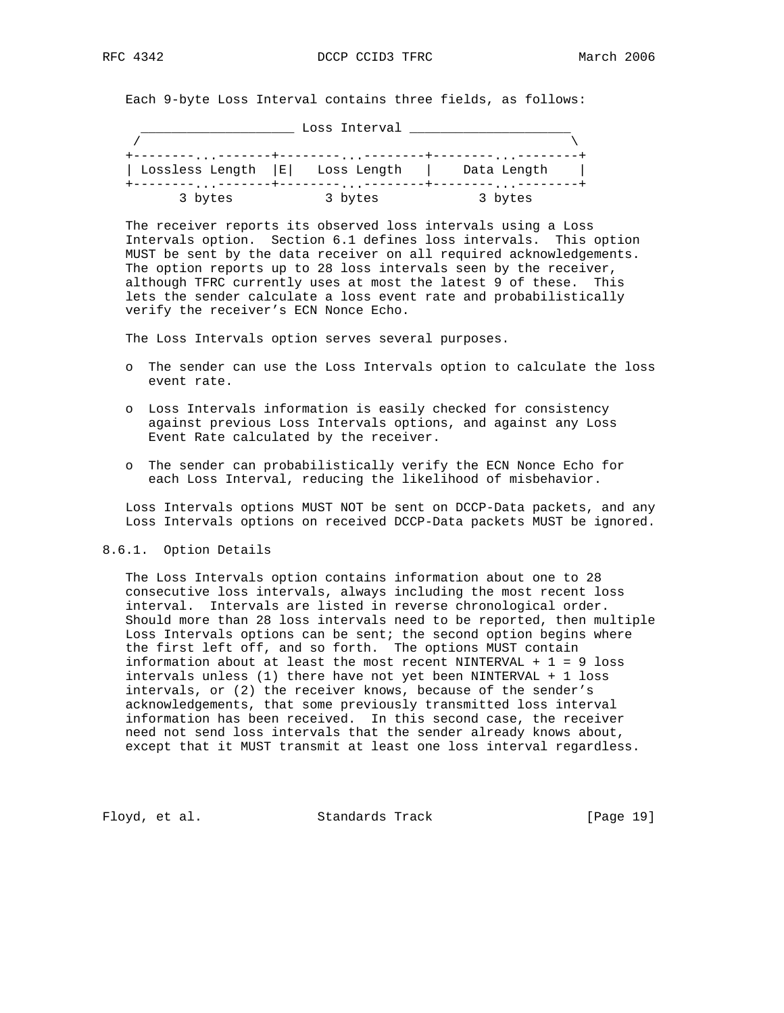Each 9-byte Loss Interval contains three fields, as follows:

\_\_\_\_\_\_\_\_\_\_\_\_\_\_\_\_\_\_\_\_ Loss Interval \_\_\_\_\_\_\_\_\_\_\_\_\_\_\_\_\_\_\_\_\_

| $\cdots$           | $\cdots$    | $\cdot$     |
|--------------------|-------------|-------------|
| Lossless Length  E | Loss Length | Data Length |
| $\cdots$           | $\cdot$     | $\cdots$    |
| 3 bytes            | 3 bytes     | 3 bytes     |

 The receiver reports its observed loss intervals using a Loss Intervals option. Section 6.1 defines loss intervals. This option MUST be sent by the data receiver on all required acknowledgements. The option reports up to 28 loss intervals seen by the receiver, although TFRC currently uses at most the latest 9 of these. This lets the sender calculate a loss event rate and probabilistically verify the receiver's ECN Nonce Echo.

The Loss Intervals option serves several purposes.

- o The sender can use the Loss Intervals option to calculate the loss event rate.
- o Loss Intervals information is easily checked for consistency against previous Loss Intervals options, and against any Loss Event Rate calculated by the receiver.
- o The sender can probabilistically verify the ECN Nonce Echo for each Loss Interval, reducing the likelihood of misbehavior.

 Loss Intervals options MUST NOT be sent on DCCP-Data packets, and any Loss Intervals options on received DCCP-Data packets MUST be ignored.

## 8.6.1. Option Details

 The Loss Intervals option contains information about one to 28 consecutive loss intervals, always including the most recent loss interval. Intervals are listed in reverse chronological order. Should more than 28 loss intervals need to be reported, then multiple Loss Intervals options can be sent; the second option begins where the first left off, and so forth. The options MUST contain information about at least the most recent NINTERVAL +  $1 = 9$  loss intervals unless (1) there have not yet been NINTERVAL + 1 loss intervals, or (2) the receiver knows, because of the sender's acknowledgements, that some previously transmitted loss interval information has been received. In this second case, the receiver need not send loss intervals that the sender already knows about, except that it MUST transmit at least one loss interval regardless.

Floyd, et al. Standards Track [Page 19]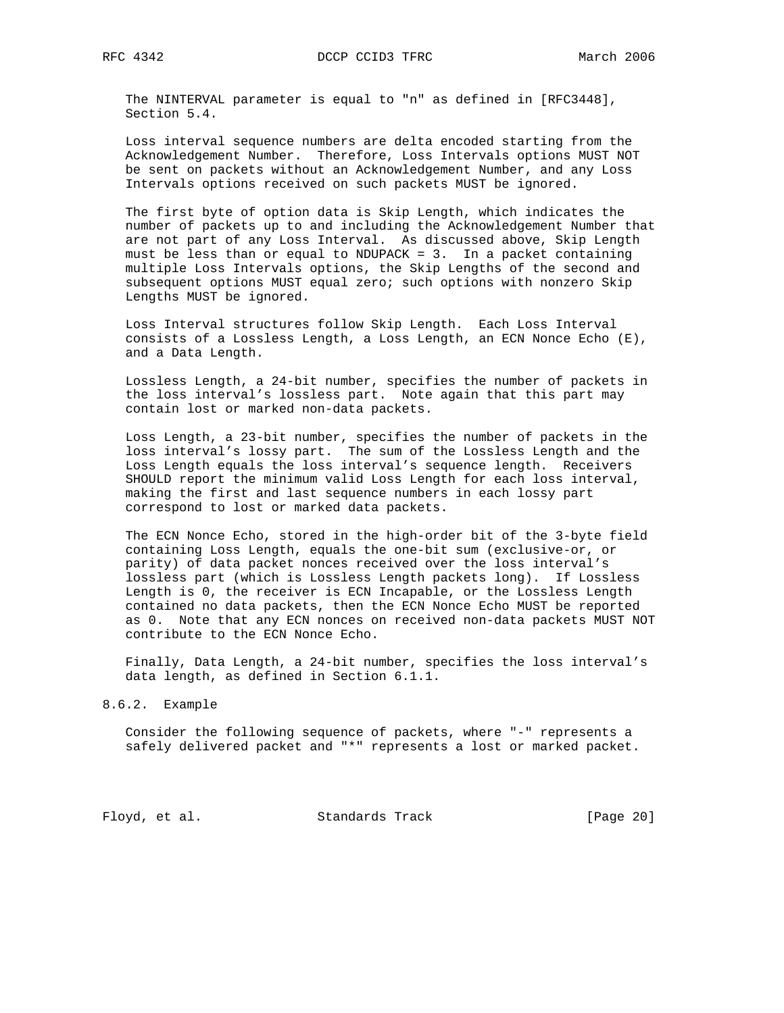The NINTERVAL parameter is equal to "n" as defined in [RFC3448], Section 5.4.

 Loss interval sequence numbers are delta encoded starting from the Acknowledgement Number. Therefore, Loss Intervals options MUST NOT be sent on packets without an Acknowledgement Number, and any Loss Intervals options received on such packets MUST be ignored.

 The first byte of option data is Skip Length, which indicates the number of packets up to and including the Acknowledgement Number that are not part of any Loss Interval. As discussed above, Skip Length must be less than or equal to NDUPACK = 3. In a packet containing multiple Loss Intervals options, the Skip Lengths of the second and subsequent options MUST equal zero; such options with nonzero Skip Lengths MUST be ignored.

 Loss Interval structures follow Skip Length. Each Loss Interval consists of a Lossless Length, a Loss Length, an ECN Nonce Echo (E), and a Data Length.

 Lossless Length, a 24-bit number, specifies the number of packets in the loss interval's lossless part. Note again that this part may contain lost or marked non-data packets.

 Loss Length, a 23-bit number, specifies the number of packets in the loss interval's lossy part. The sum of the Lossless Length and the Loss Length equals the loss interval's sequence length. Receivers SHOULD report the minimum valid Loss Length for each loss interval, making the first and last sequence numbers in each lossy part correspond to lost or marked data packets.

 The ECN Nonce Echo, stored in the high-order bit of the 3-byte field containing Loss Length, equals the one-bit sum (exclusive-or, or parity) of data packet nonces received over the loss interval's lossless part (which is Lossless Length packets long). If Lossless Length is 0, the receiver is ECN Incapable, or the Lossless Length contained no data packets, then the ECN Nonce Echo MUST be reported as 0. Note that any ECN nonces on received non-data packets MUST NOT contribute to the ECN Nonce Echo.

 Finally, Data Length, a 24-bit number, specifies the loss interval's data length, as defined in Section 6.1.1.

#### 8.6.2. Example

 Consider the following sequence of packets, where "-" represents a safely delivered packet and "\*" represents a lost or marked packet.

Floyd, et al. Standards Track [Page 20]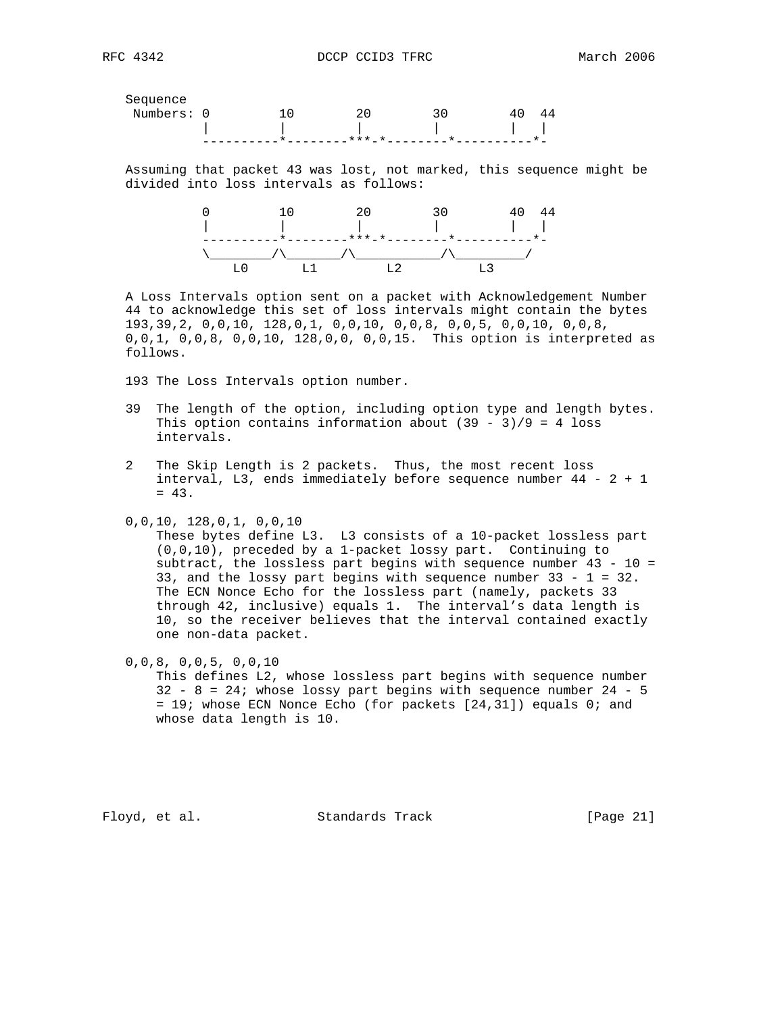Sequence

| Numbers: 0 |  |                             |               |
|------------|--|-----------------------------|---------------|
|            |  |                             | and the state |
|            |  | $\star \star \star$ $\star$ |               |

 Assuming that packet 43 was lost, not marked, this sequence might be divided into loss intervals as follows:



 A Loss Intervals option sent on a packet with Acknowledgement Number 44 to acknowledge this set of loss intervals might contain the bytes 193,39,2, 0,0,10, 128,0,1, 0,0,10, 0,0,8, 0,0,5, 0,0,10, 0,0,8, 0,0,1, 0,0,8, 0,0,10, 128,0,0, 0,0,15. This option is interpreted as follows.

193 The Loss Intervals option number.

- 39 The length of the option, including option type and length bytes. This option contains information about  $(39 - 3)/9 = 4$  loss intervals.
- 2 The Skip Length is 2 packets. Thus, the most recent loss interval,  $L3$ , ends immediately before sequence number  $44 - 2 + 1$  $= 43.$
- 0,0,10, 128,0,1, 0,0,10

 These bytes define L3. L3 consists of a 10-packet lossless part (0,0,10), preceded by a 1-packet lossy part. Continuing to subtract, the lossless part begins with sequence number 43 - 10 = 33, and the lossy part begins with sequence number 33 - 1 = 32. The ECN Nonce Echo for the lossless part (namely, packets 33 through 42, inclusive) equals 1. The interval's data length is 10, so the receiver believes that the interval contained exactly one non-data packet.

0,0,8, 0,0,5, 0,0,10

 This defines L2, whose lossless part begins with sequence number  $32 - 8 = 24$ ; whose lossy part begins with sequence number 24 - 5 = 19; whose ECN Nonce Echo (for packets [24,31]) equals 0; and whose data length is 10.

Floyd, et al. Standards Track [Page 21]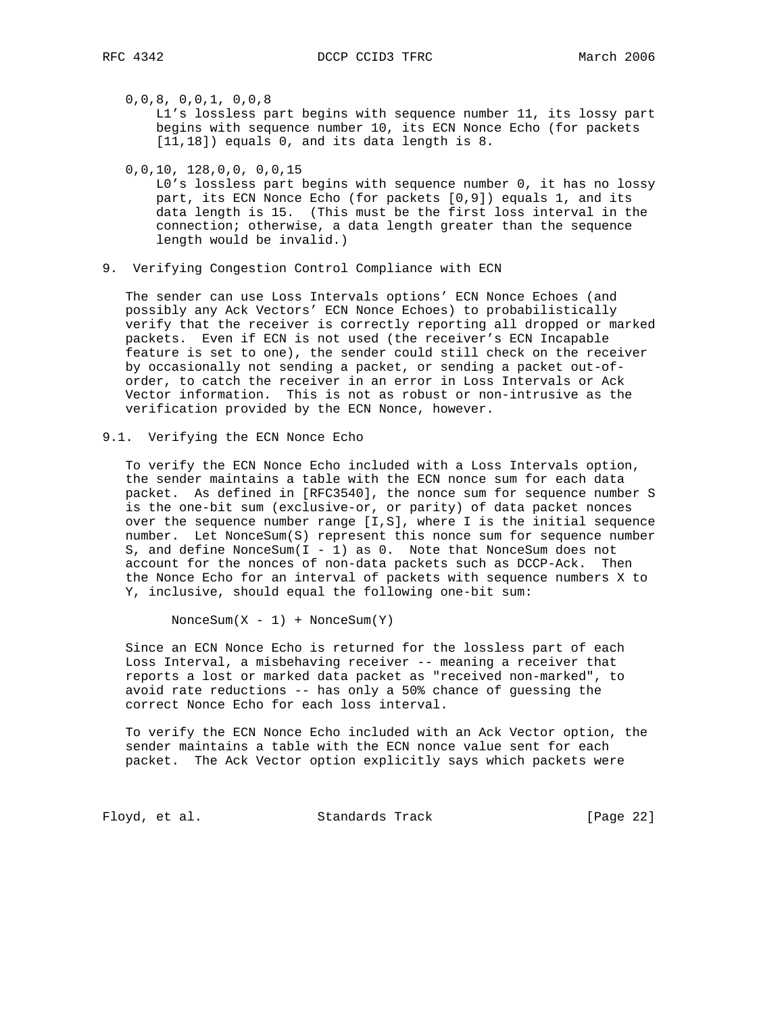0,0,8, 0,0,1, 0,0,8

 L1's lossless part begins with sequence number 11, its lossy part begins with sequence number 10, its ECN Nonce Echo (for packets [11,18]) equals 0, and its data length is 8.

0,0,10, 128,0,0, 0,0,15

 L0's lossless part begins with sequence number 0, it has no lossy part, its ECN Nonce Echo (for packets [0,9]) equals 1, and its data length is 15. (This must be the first loss interval in the connection; otherwise, a data length greater than the sequence length would be invalid.)

9. Verifying Congestion Control Compliance with ECN

 The sender can use Loss Intervals options' ECN Nonce Echoes (and possibly any Ack Vectors' ECN Nonce Echoes) to probabilistically verify that the receiver is correctly reporting all dropped or marked packets. Even if ECN is not used (the receiver's ECN Incapable feature is set to one), the sender could still check on the receiver by occasionally not sending a packet, or sending a packet out-of order, to catch the receiver in an error in Loss Intervals or Ack Vector information. This is not as robust or non-intrusive as the verification provided by the ECN Nonce, however.

9.1. Verifying the ECN Nonce Echo

 To verify the ECN Nonce Echo included with a Loss Intervals option, the sender maintains a table with the ECN nonce sum for each data packet. As defined in [RFC3540], the nonce sum for sequence number S is the one-bit sum (exclusive-or, or parity) of data packet nonces over the sequence number range [I,S], where I is the initial sequence number. Let NonceSum(S) represent this nonce sum for sequence number S, and define NonceSum( $I - 1$ ) as 0. Note that NonceSum does not account for the nonces of non-data packets such as DCCP-Ack. Then the Nonce Echo for an interval of packets with sequence numbers X to Y, inclusive, should equal the following one-bit sum:

 $N$ onceSum $(X - 1)$  +  $N$ onceSum $(Y)$ 

 Since an ECN Nonce Echo is returned for the lossless part of each Loss Interval, a misbehaving receiver -- meaning a receiver that reports a lost or marked data packet as "received non-marked", to avoid rate reductions -- has only a 50% chance of guessing the correct Nonce Echo for each loss interval.

 To verify the ECN Nonce Echo included with an Ack Vector option, the sender maintains a table with the ECN nonce value sent for each packet. The Ack Vector option explicitly says which packets were

Floyd, et al. Standards Track [Page 22]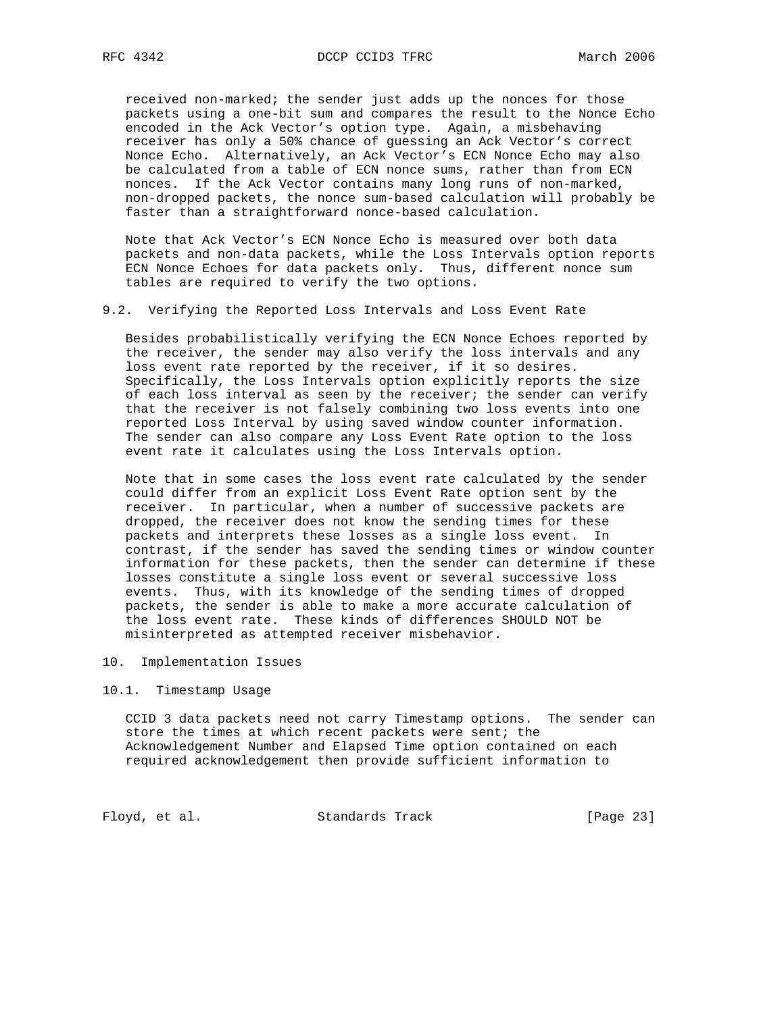received non-marked; the sender just adds up the nonces for those packets using a one-bit sum and compares the result to the Nonce Echo encoded in the Ack Vector's option type. Again, a misbehaving receiver has only a 50% chance of guessing an Ack Vector's correct Nonce Echo. Alternatively, an Ack Vector's ECN Nonce Echo may also be calculated from a table of ECN nonce sums, rather than from ECN nonces. If the Ack Vector contains many long runs of non-marked, non-dropped packets, the nonce sum-based calculation will probably be faster than a straightforward nonce-based calculation.

 Note that Ack Vector's ECN Nonce Echo is measured over both data packets and non-data packets, while the Loss Intervals option reports ECN Nonce Echoes for data packets only. Thus, different nonce sum tables are required to verify the two options.

9.2. Verifying the Reported Loss Intervals and Loss Event Rate

 Besides probabilistically verifying the ECN Nonce Echoes reported by the receiver, the sender may also verify the loss intervals and any loss event rate reported by the receiver, if it so desires. Specifically, the Loss Intervals option explicitly reports the size of each loss interval as seen by the receiver; the sender can verify that the receiver is not falsely combining two loss events into one reported Loss Interval by using saved window counter information. The sender can also compare any Loss Event Rate option to the loss event rate it calculates using the Loss Intervals option.

 Note that in some cases the loss event rate calculated by the sender could differ from an explicit Loss Event Rate option sent by the receiver. In particular, when a number of successive packets are dropped, the receiver does not know the sending times for these packets and interprets these losses as a single loss event. In contrast, if the sender has saved the sending times or window counter information for these packets, then the sender can determine if these losses constitute a single loss event or several successive loss events. Thus, with its knowledge of the sending times of dropped packets, the sender is able to make a more accurate calculation of the loss event rate. These kinds of differences SHOULD NOT be misinterpreted as attempted receiver misbehavior.

10. Implementation Issues

#### 10.1. Timestamp Usage

 CCID 3 data packets need not carry Timestamp options. The sender can store the times at which recent packets were sent; the Acknowledgement Number and Elapsed Time option contained on each required acknowledgement then provide sufficient information to

Floyd, et al. Standards Track [Page 23]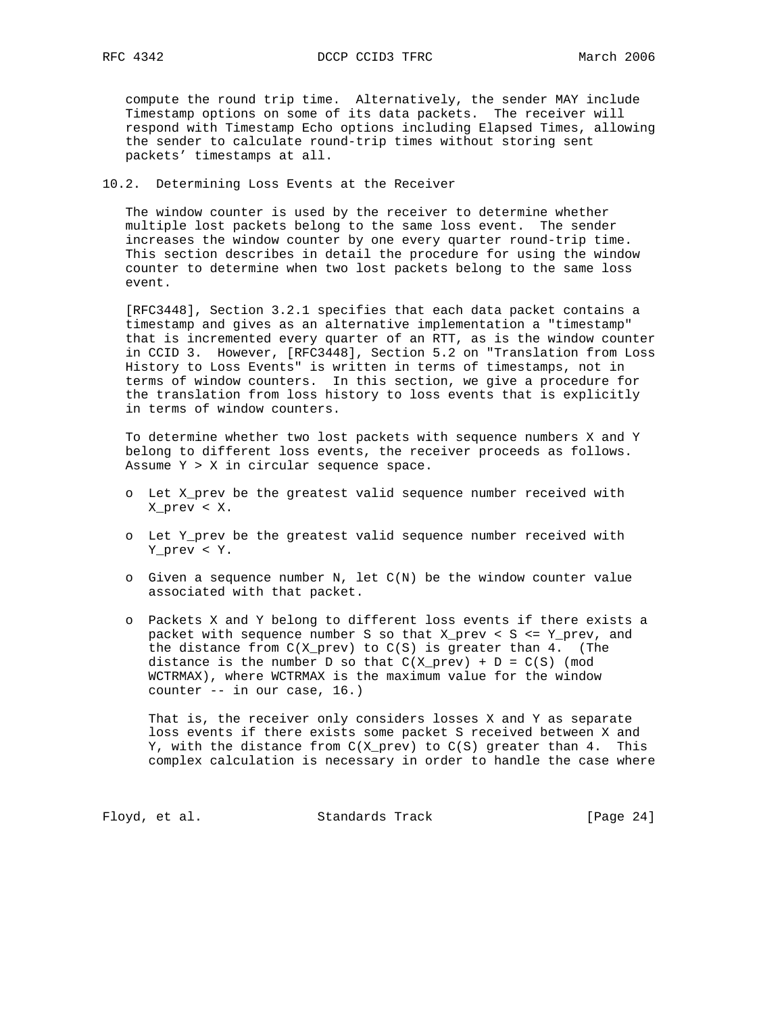compute the round trip time. Alternatively, the sender MAY include Timestamp options on some of its data packets. The receiver will respond with Timestamp Echo options including Elapsed Times, allowing the sender to calculate round-trip times without storing sent packets' timestamps at all.

### 10.2. Determining Loss Events at the Receiver

 The window counter is used by the receiver to determine whether multiple lost packets belong to the same loss event. The sender increases the window counter by one every quarter round-trip time. This section describes in detail the procedure for using the window counter to determine when two lost packets belong to the same loss event.

 [RFC3448], Section 3.2.1 specifies that each data packet contains a timestamp and gives as an alternative implementation a "timestamp" that is incremented every quarter of an RTT, as is the window counter in CCID 3. However, [RFC3448], Section 5.2 on "Translation from Loss History to Loss Events" is written in terms of timestamps, not in terms of window counters. In this section, we give a procedure for the translation from loss history to loss events that is explicitly in terms of window counters.

 To determine whether two lost packets with sequence numbers X and Y belong to different loss events, the receiver proceeds as follows. Assume Y > X in circular sequence space.

- o Let X\_prev be the greatest valid sequence number received with X\_prev < X.
- o Let Y\_prev be the greatest valid sequence number received with Y\_prev < Y.
- o Given a sequence number N, let C(N) be the window counter value associated with that packet.
- o Packets X and Y belong to different loss events if there exists a packet with sequence number S so that X\_prev < S <= Y\_prev, and the distance from  $C(X\_prev)$  to  $C(S)$  is greater than 4. (The distance is the number D so that  $C(X_{prev}) + D = C(S)$  (mod WCTRMAX), where WCTRMAX is the maximum value for the window counter -- in our case, 16.)

 That is, the receiver only considers losses X and Y as separate loss events if there exists some packet S received between X and Y, with the distance from  $C(X_{prev})$  to  $C(S)$  greater than 4. This complex calculation is necessary in order to handle the case where

Floyd, et al. Standards Track [Page 24]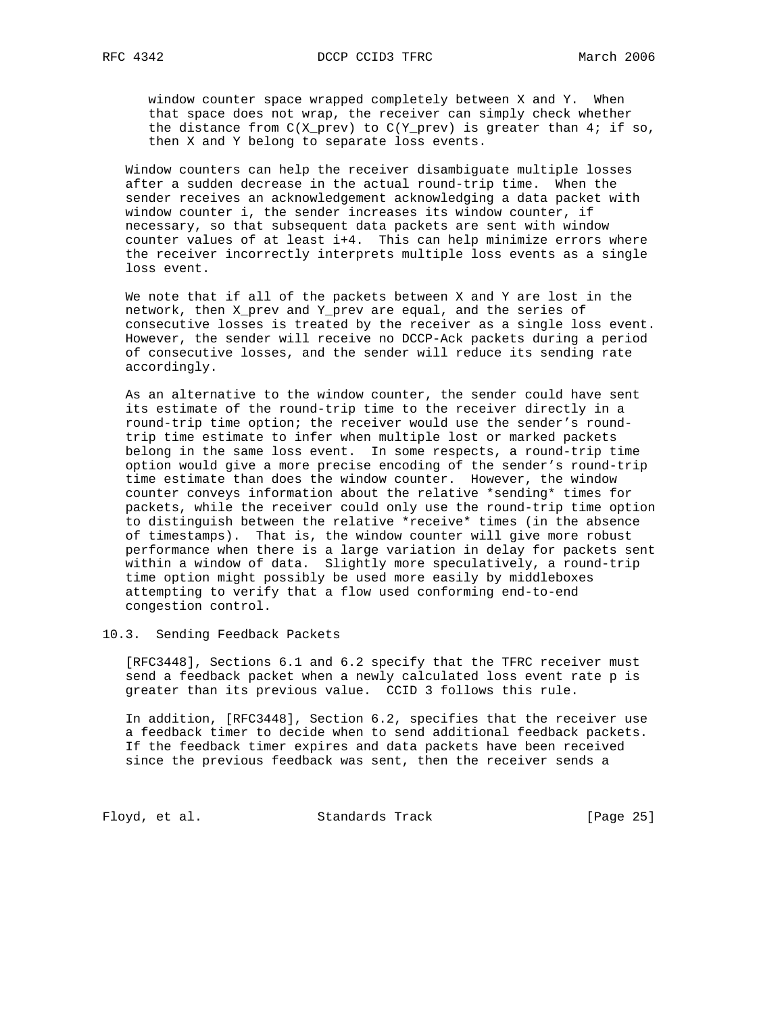window counter space wrapped completely between X and Y. When that space does not wrap, the receiver can simply check whether the distance from  $C(X_{prev})$  to  $C(Y_{prev})$  is greater than 4; if so, then X and Y belong to separate loss events.

 Window counters can help the receiver disambiguate multiple losses after a sudden decrease in the actual round-trip time. When the sender receives an acknowledgement acknowledging a data packet with window counter i, the sender increases its window counter, if necessary, so that subsequent data packets are sent with window counter values of at least i+4. This can help minimize errors where the receiver incorrectly interprets multiple loss events as a single loss event.

 We note that if all of the packets between X and Y are lost in the network, then X\_prev and Y\_prev are equal, and the series of consecutive losses is treated by the receiver as a single loss event. However, the sender will receive no DCCP-Ack packets during a period of consecutive losses, and the sender will reduce its sending rate accordingly.

 As an alternative to the window counter, the sender could have sent its estimate of the round-trip time to the receiver directly in a round-trip time option; the receiver would use the sender's round trip time estimate to infer when multiple lost or marked packets belong in the same loss event. In some respects, a round-trip time option would give a more precise encoding of the sender's round-trip time estimate than does the window counter. However, the window counter conveys information about the relative \*sending\* times for packets, while the receiver could only use the round-trip time option to distinguish between the relative \*receive\* times (in the absence of timestamps). That is, the window counter will give more robust performance when there is a large variation in delay for packets sent within a window of data. Slightly more speculatively, a round-trip time option might possibly be used more easily by middleboxes attempting to verify that a flow used conforming end-to-end congestion control.

10.3. Sending Feedback Packets

 [RFC3448], Sections 6.1 and 6.2 specify that the TFRC receiver must send a feedback packet when a newly calculated loss event rate p is greater than its previous value. CCID 3 follows this rule.

 In addition, [RFC3448], Section 6.2, specifies that the receiver use a feedback timer to decide when to send additional feedback packets. If the feedback timer expires and data packets have been received since the previous feedback was sent, then the receiver sends a

Floyd, et al. Standards Track [Page 25]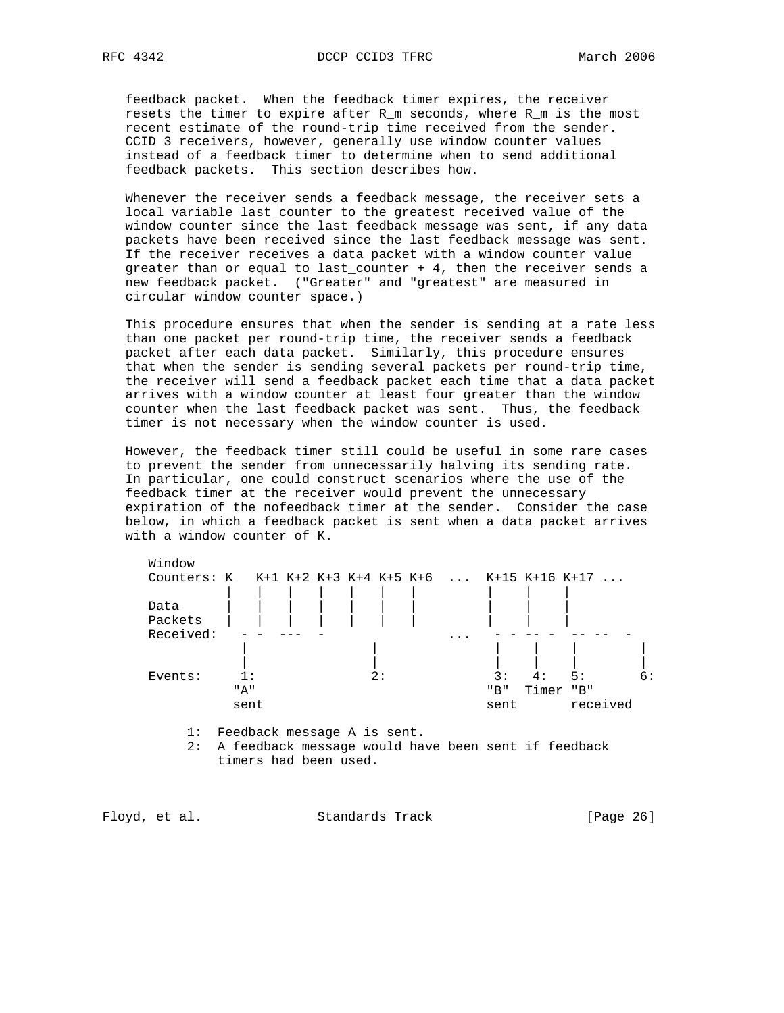feedback packet. When the feedback timer expires, the receiver resets the timer to expire after R\_m seconds, where R\_m is the most recent estimate of the round-trip time received from the sender. CCID 3 receivers, however, generally use window counter values instead of a feedback timer to determine when to send additional feedback packets. This section describes how.

 Whenever the receiver sends a feedback message, the receiver sets a local variable last\_counter to the greatest received value of the window counter since the last feedback message was sent, if any data packets have been received since the last feedback message was sent. If the receiver receives a data packet with a window counter value greater than or equal to last\_counter + 4, then the receiver sends a new feedback packet. ("Greater" and "greatest" are measured in circular window counter space.)

 This procedure ensures that when the sender is sending at a rate less than one packet per round-trip time, the receiver sends a feedback packet after each data packet. Similarly, this procedure ensures that when the sender is sending several packets per round-trip time, the receiver will send a feedback packet each time that a data packet arrives with a window counter at least four greater than the window counter when the last feedback packet was sent. Thus, the feedback timer is not necessary when the window counter is used.

 However, the feedback timer still could be useful in some rare cases to prevent the sender from unnecessarily halving its sending rate. In particular, one could construct scenarios where the use of the feedback timer at the receiver would prevent the unnecessary expiration of the nofeedback timer at the sender. Consider the case below, in which a feedback packet is sent when a data packet arrives with a window counter of K.

| Window                                              |                             |    |                         |      |       |          |    |
|-----------------------------------------------------|-----------------------------|----|-------------------------|------|-------|----------|----|
| Counters: K K+1 K+2 K+3 K+4 K+5 K+6  K+15 K+16 K+17 |                             |    |                         |      |       |          |    |
| Data<br>Packets                                     |                             |    |                         |      |       |          |    |
| Received:                                           |                             |    | $\cdot$ $\cdot$ $\cdot$ |      |       |          |    |
|                                                     |                             |    |                         |      |       |          |    |
| Events:                                             | 1 :                         | 2: |                         | 3:   | 4 :   | 5:       | 6: |
|                                                     | " д "                       |    |                         | "B"  | Timer | "B"      |    |
|                                                     | sent                        |    |                         | sent |       | received |    |
| 1:                                                  | Feedback message A is sent. |    |                         |      |       |          |    |

 2: A feedback message would have been sent if feedback timers had been used.

Floyd, et al. Standards Track [Page 26]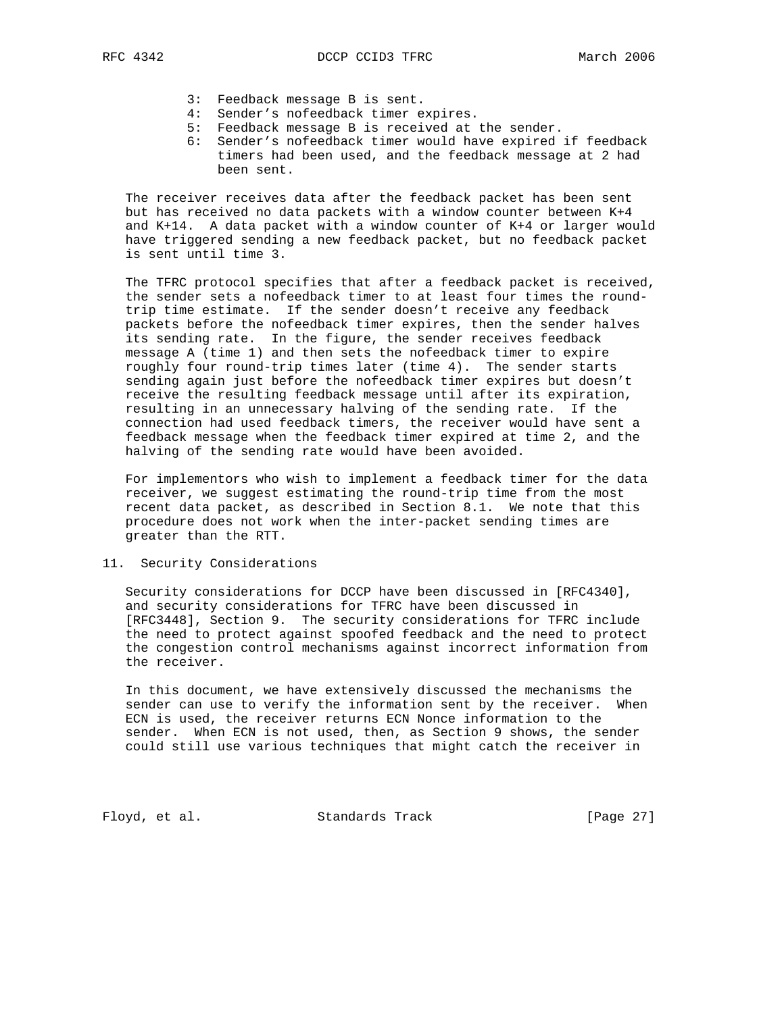- 3: Feedback message B is sent.
- 4: Sender's nofeedback timer expires.
- 5: Feedback message B is received at the sender.
- 6: Sender's nofeedback timer would have expired if feedback timers had been used, and the feedback message at 2 had been sent.

 The receiver receives data after the feedback packet has been sent but has received no data packets with a window counter between K+4 and K+14. A data packet with a window counter of K+4 or larger would have triggered sending a new feedback packet, but no feedback packet is sent until time 3.

 The TFRC protocol specifies that after a feedback packet is received, the sender sets a nofeedback timer to at least four times the round trip time estimate. If the sender doesn't receive any feedback packets before the nofeedback timer expires, then the sender halves its sending rate. In the figure, the sender receives feedback message A (time 1) and then sets the nofeedback timer to expire roughly four round-trip times later (time 4). The sender starts sending again just before the nofeedback timer expires but doesn't receive the resulting feedback message until after its expiration, resulting in an unnecessary halving of the sending rate. If the connection had used feedback timers, the receiver would have sent a feedback message when the feedback timer expired at time 2, and the halving of the sending rate would have been avoided.

 For implementors who wish to implement a feedback timer for the data receiver, we suggest estimating the round-trip time from the most recent data packet, as described in Section 8.1. We note that this procedure does not work when the inter-packet sending times are greater than the RTT.

## 11. Security Considerations

 Security considerations for DCCP have been discussed in [RFC4340], and security considerations for TFRC have been discussed in [RFC3448], Section 9. The security considerations for TFRC include the need to protect against spoofed feedback and the need to protect the congestion control mechanisms against incorrect information from the receiver.

 In this document, we have extensively discussed the mechanisms the sender can use to verify the information sent by the receiver. When ECN is used, the receiver returns ECN Nonce information to the sender. When ECN is not used, then, as Section 9 shows, the sender could still use various techniques that might catch the receiver in

Floyd, et al. Standards Track [Page 27]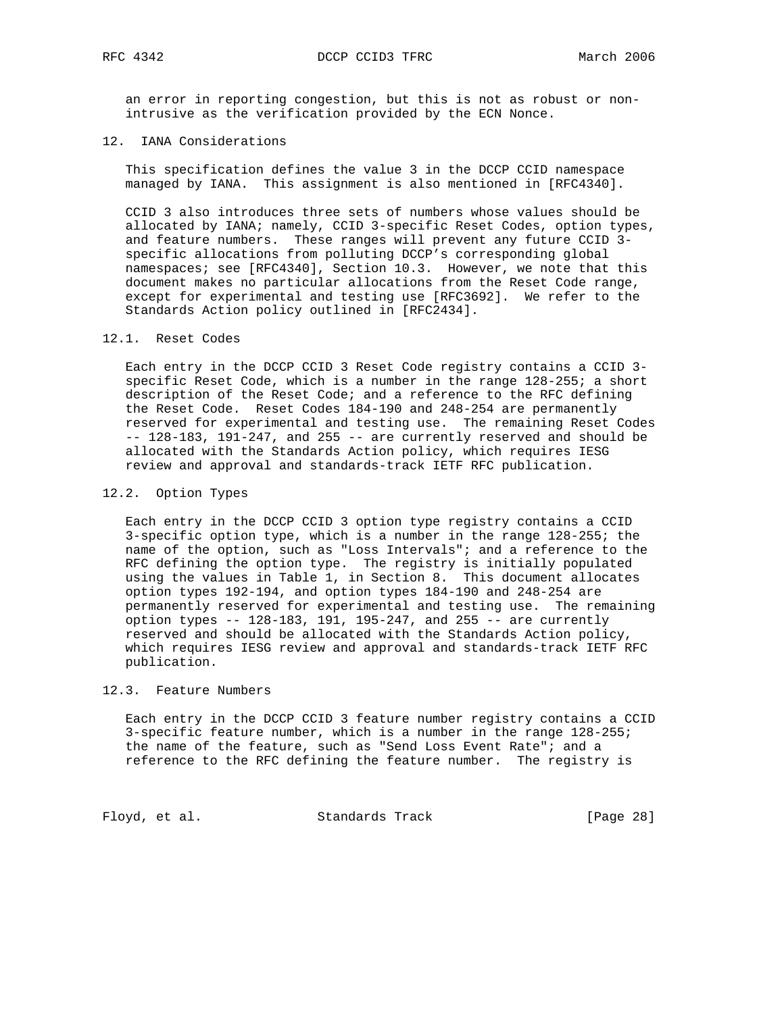an error in reporting congestion, but this is not as robust or non intrusive as the verification provided by the ECN Nonce.

### 12. IANA Considerations

 This specification defines the value 3 in the DCCP CCID namespace managed by IANA. This assignment is also mentioned in [RFC4340].

 CCID 3 also introduces three sets of numbers whose values should be allocated by IANA; namely, CCID 3-specific Reset Codes, option types, and feature numbers. These ranges will prevent any future CCID 3 specific allocations from polluting DCCP's corresponding global namespaces; see [RFC4340], Section 10.3. However, we note that this document makes no particular allocations from the Reset Code range, except for experimental and testing use [RFC3692]. We refer to the Standards Action policy outlined in [RFC2434].

### 12.1. Reset Codes

 Each entry in the DCCP CCID 3 Reset Code registry contains a CCID 3 specific Reset Code, which is a number in the range 128-255; a short description of the Reset Code; and a reference to the RFC defining the Reset Code. Reset Codes 184-190 and 248-254 are permanently reserved for experimental and testing use. The remaining Reset Codes -- 128-183, 191-247, and 255 -- are currently reserved and should be allocated with the Standards Action policy, which requires IESG review and approval and standards-track IETF RFC publication.

### 12.2. Option Types

 Each entry in the DCCP CCID 3 option type registry contains a CCID 3-specific option type, which is a number in the range 128-255; the name of the option, such as "Loss Intervals"; and a reference to the RFC defining the option type. The registry is initially populated using the values in Table 1, in Section 8. This document allocates option types 192-194, and option types 184-190 and 248-254 are permanently reserved for experimental and testing use. The remaining option types -- 128-183, 191, 195-247, and 255 -- are currently reserved and should be allocated with the Standards Action policy, which requires IESG review and approval and standards-track IETF RFC publication.

### 12.3. Feature Numbers

 Each entry in the DCCP CCID 3 feature number registry contains a CCID 3-specific feature number, which is a number in the range 128-255; the name of the feature, such as "Send Loss Event Rate"; and a reference to the RFC defining the feature number. The registry is

Floyd, et al. Standards Track [Page 28]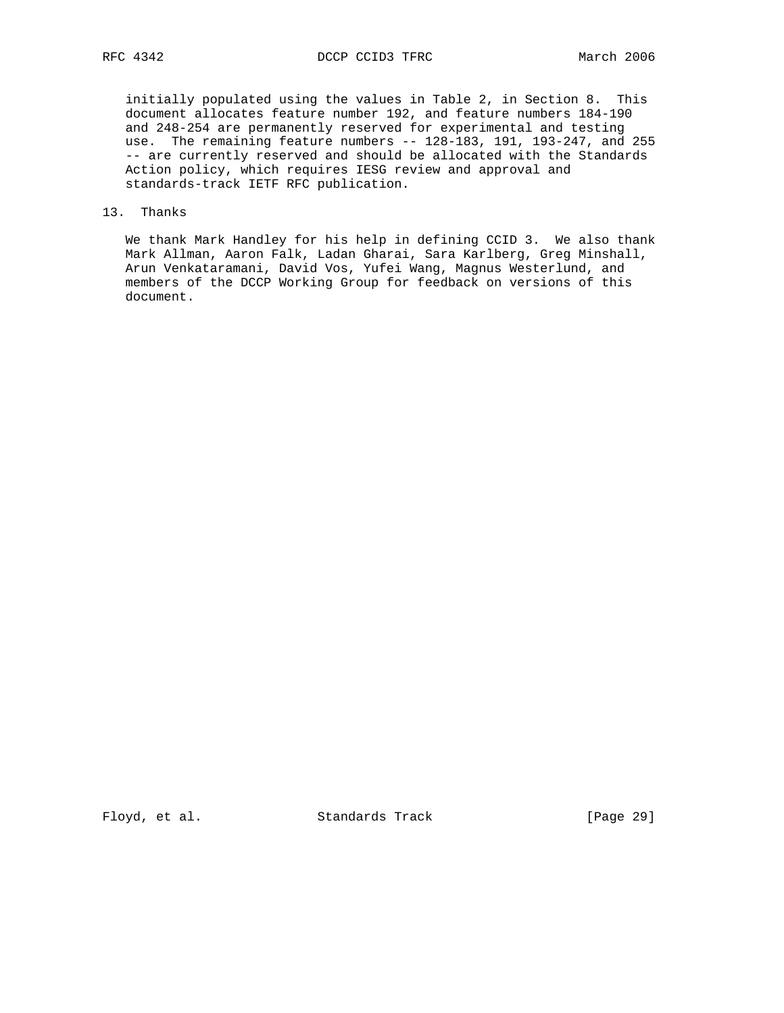initially populated using the values in Table 2, in Section 8. This document allocates feature number 192, and feature numbers 184-190 and 248-254 are permanently reserved for experimental and testing use. The remaining feature numbers -- 128-183, 191, 193-247, and 255 -- are currently reserved and should be allocated with the Standards Action policy, which requires IESG review and approval and standards-track IETF RFC publication.

# 13. Thanks

 We thank Mark Handley for his help in defining CCID 3. We also thank Mark Allman, Aaron Falk, Ladan Gharai, Sara Karlberg, Greg Minshall, Arun Venkataramani, David Vos, Yufei Wang, Magnus Westerlund, and members of the DCCP Working Group for feedback on versions of this document.

Floyd, et al. Standards Track [Page 29]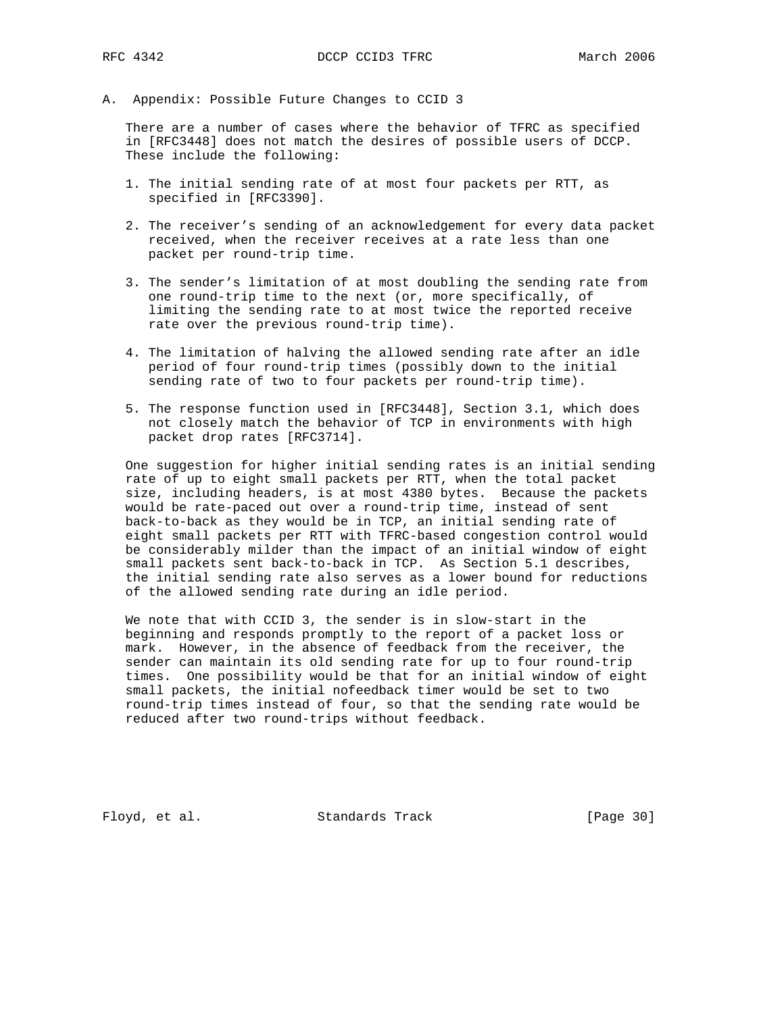A. Appendix: Possible Future Changes to CCID 3

 There are a number of cases where the behavior of TFRC as specified in [RFC3448] does not match the desires of possible users of DCCP. These include the following:

- 1. The initial sending rate of at most four packets per RTT, as specified in [RFC3390].
- 2. The receiver's sending of an acknowledgement for every data packet received, when the receiver receives at a rate less than one packet per round-trip time.
- 3. The sender's limitation of at most doubling the sending rate from one round-trip time to the next (or, more specifically, of limiting the sending rate to at most twice the reported receive rate over the previous round-trip time).
- 4. The limitation of halving the allowed sending rate after an idle period of four round-trip times (possibly down to the initial sending rate of two to four packets per round-trip time).
- 5. The response function used in [RFC3448], Section 3.1, which does not closely match the behavior of TCP in environments with high packet drop rates [RFC3714].

 One suggestion for higher initial sending rates is an initial sending rate of up to eight small packets per RTT, when the total packet size, including headers, is at most 4380 bytes. Because the packets would be rate-paced out over a round-trip time, instead of sent back-to-back as they would be in TCP, an initial sending rate of eight small packets per RTT with TFRC-based congestion control would be considerably milder than the impact of an initial window of eight small packets sent back-to-back in TCP. As Section 5.1 describes, the initial sending rate also serves as a lower bound for reductions of the allowed sending rate during an idle period.

 We note that with CCID 3, the sender is in slow-start in the beginning and responds promptly to the report of a packet loss or mark. However, in the absence of feedback from the receiver, the sender can maintain its old sending rate for up to four round-trip times. One possibility would be that for an initial window of eight small packets, the initial nofeedback timer would be set to two round-trip times instead of four, so that the sending rate would be reduced after two round-trips without feedback.

Floyd, et al. Standards Track [Page 30]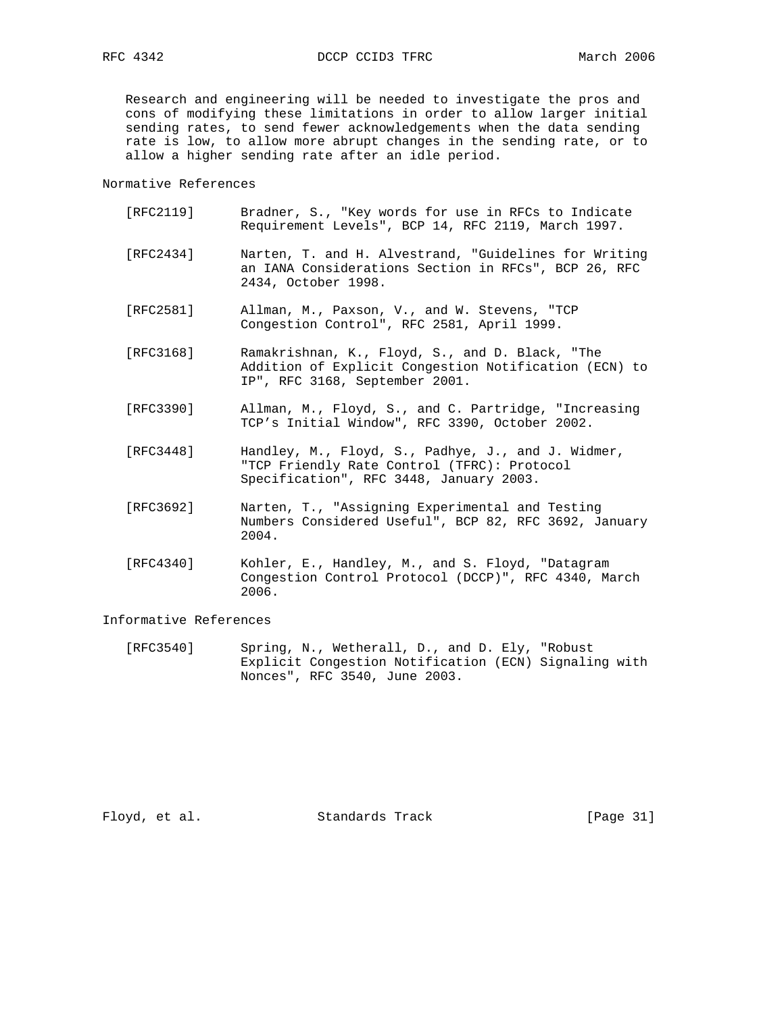Research and engineering will be needed to investigate the pros and cons of modifying these limitations in order to allow larger initial sending rates, to send fewer acknowledgements when the data sending rate is low, to allow more abrupt changes in the sending rate, or to allow a higher sending rate after an idle period.

Normative References

| [RFC2119] | Bradner, S., "Key words for use in RFCs to Indicate |  |  |  |  |  |  |
|-----------|-----------------------------------------------------|--|--|--|--|--|--|
|           | Requirement Levels", BCP 14, RFC 2119, March 1997.  |  |  |  |  |  |  |

- [RFC2434] Narten, T. and H. Alvestrand, "Guidelines for Writing an IANA Considerations Section in RFCs", BCP 26, RFC 2434, October 1998.
- [RFC2581] Allman, M., Paxson, V., and W. Stevens, "TCP Congestion Control", RFC 2581, April 1999.
- [RFC3168] Ramakrishnan, K., Floyd, S., and D. Black, "The Addition of Explicit Congestion Notification (ECN) to IP", RFC 3168, September 2001.
- [RFC3390] Allman, M., Floyd, S., and C. Partridge, "Increasing TCP's Initial Window", RFC 3390, October 2002.
- [RFC3448] Handley, M., Floyd, S., Padhye, J., and J. Widmer, "TCP Friendly Rate Control (TFRC): Protocol Specification", RFC 3448, January 2003.
- [RFC3692] Narten, T., "Assigning Experimental and Testing Numbers Considered Useful", BCP 82, RFC 3692, January 2004.
- [RFC4340] Kohler, E., Handley, M., and S. Floyd, "Datagram Congestion Control Protocol (DCCP)", RFC 4340, March 2006.

### Informative References

 [RFC3540] Spring, N., Wetherall, D., and D. Ely, "Robust Explicit Congestion Notification (ECN) Signaling with Nonces", RFC 3540, June 2003.

Floyd, et al. Standards Track [Page 31]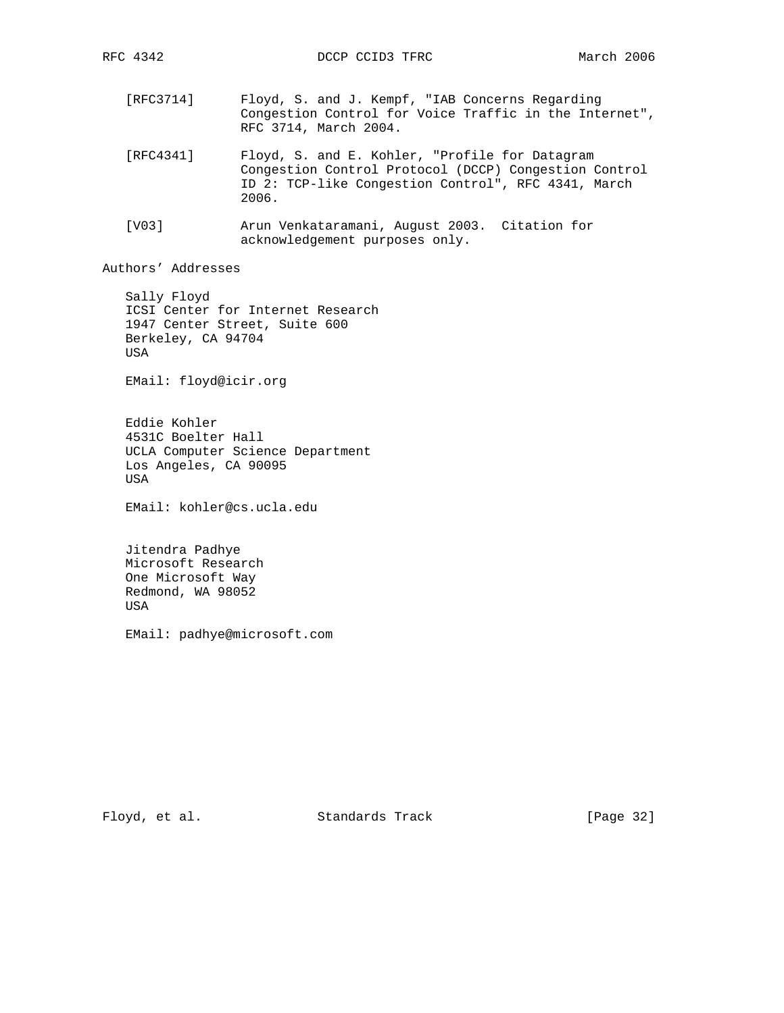- [RFC3714] Floyd, S. and J. Kempf, "IAB Concerns Regarding Congestion Control for Voice Traffic in the Internet", RFC 3714, March 2004.
- [RFC4341] Floyd, S. and E. Kohler, "Profile for Datagram Congestion Control Protocol (DCCP) Congestion Control ID 2: TCP-like Congestion Control", RFC 4341, March 2006.
- [V03] Arun Venkataramani, August 2003. Citation for acknowledgement purposes only.

Authors' Addresses

 Sally Floyd ICSI Center for Internet Research 1947 Center Street, Suite 600 Berkeley, CA 94704 USA

EMail: floyd@icir.org

 Eddie Kohler 4531C Boelter Hall UCLA Computer Science Department Los Angeles, CA 90095 USA

EMail: kohler@cs.ucla.edu

 Jitendra Padhye Microsoft Research One Microsoft Way Redmond, WA 98052 USA

EMail: padhye@microsoft.com

Floyd, et al. Standards Track [Page 32]